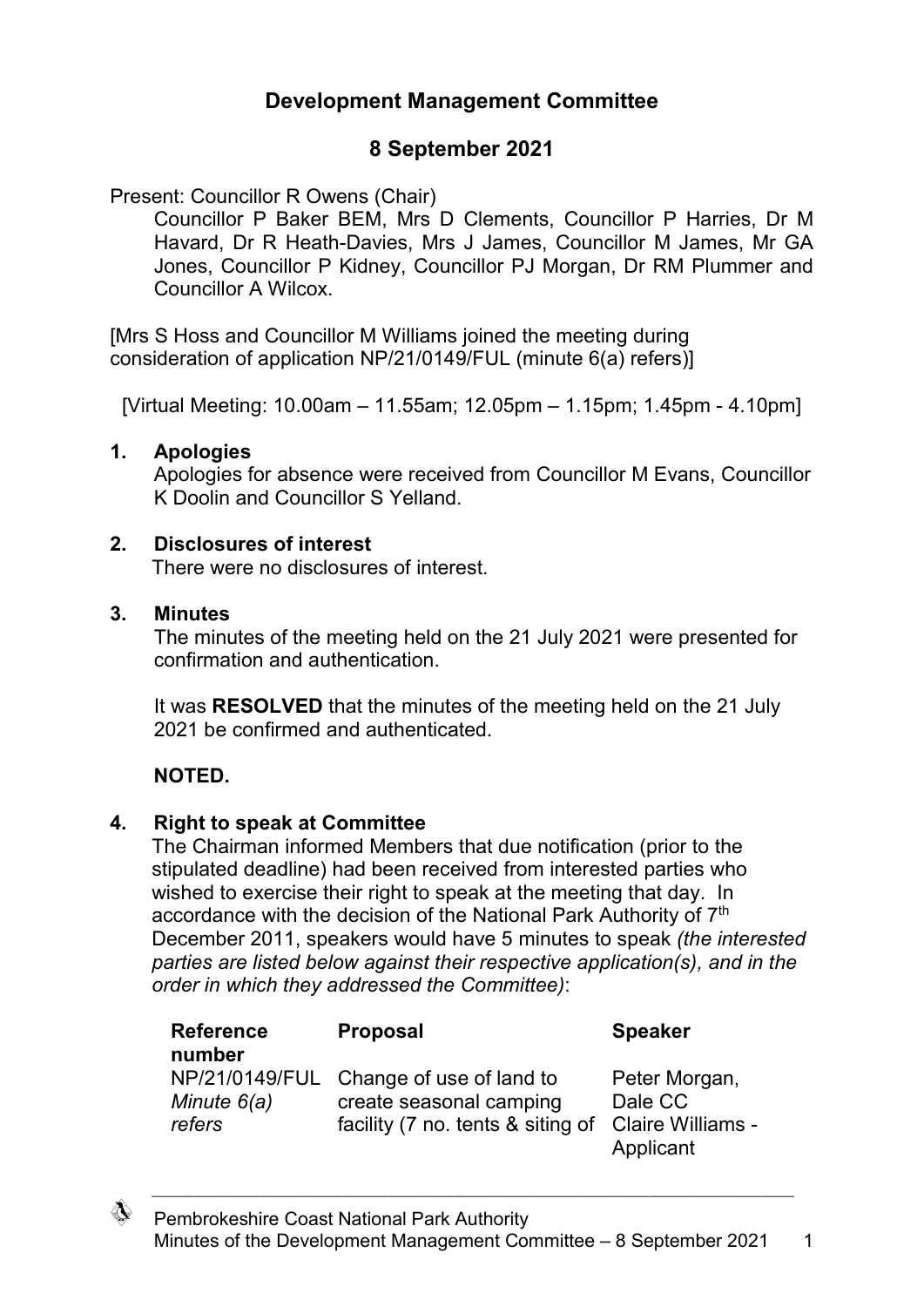# **Development Management Committee**

# **8 September 2021**

Present: Councillor R Owens (Chair)

Councillor P Baker BEM, Mrs D Clements, Councillor P Harries, Dr M Havard, Dr R Heath-Davies, Mrs J James, Councillor M James, Mr GA Jones, Councillor P Kidney, Councillor PJ Morgan, Dr RM Plummer and Councillor A Wilcox.

[Mrs S Hoss and Councillor M Williams joined the meeting during consideration of application NP/21/0149/FUL (minute 6(a) refers)]

[Virtual Meeting: 10.00am – 11.55am; 12.05pm – 1.15pm; 1.45pm - 4.10pm]

### **1. Apologies**

Apologies for absence were received from Councillor M Evans, Councillor K Doolin and Councillor S Yelland.

### **2. Disclosures of interest**

There were no disclosures of interest.

#### **3. Minutes**

The minutes of the meeting held on the 21 July 2021 were presented for confirmation and authentication.

It was **RESOLVED** that the minutes of the meeting held on the 21 July 2021 be confirmed and authenticated.

### **NOTED.**

### **4. Right to speak at Committee**

The Chairman informed Members that due notification (prior to the stipulated deadline) had been received from interested parties who wished to exercise their right to speak at the meeting that day. In accordance with the decision of the National Park Authority of 7<sup>th</sup> December 2011, speakers would have 5 minutes to speak *(the interested parties are listed below against their respective application(s), and in the order in which they addressed the Committee)*:

| <b>Reference</b><br>number | <b>Proposal</b>                                                                                         | <b>Speaker</b>                                             |
|----------------------------|---------------------------------------------------------------------------------------------------------|------------------------------------------------------------|
| Minute $6(a)$<br>refers    | NP/21/0149/FUL Change of use of land to<br>create seasonal camping<br>facility (7 no. tents & siting of | Peter Morgan,<br>Dale CC<br>Claire Williams -<br>Applicant |

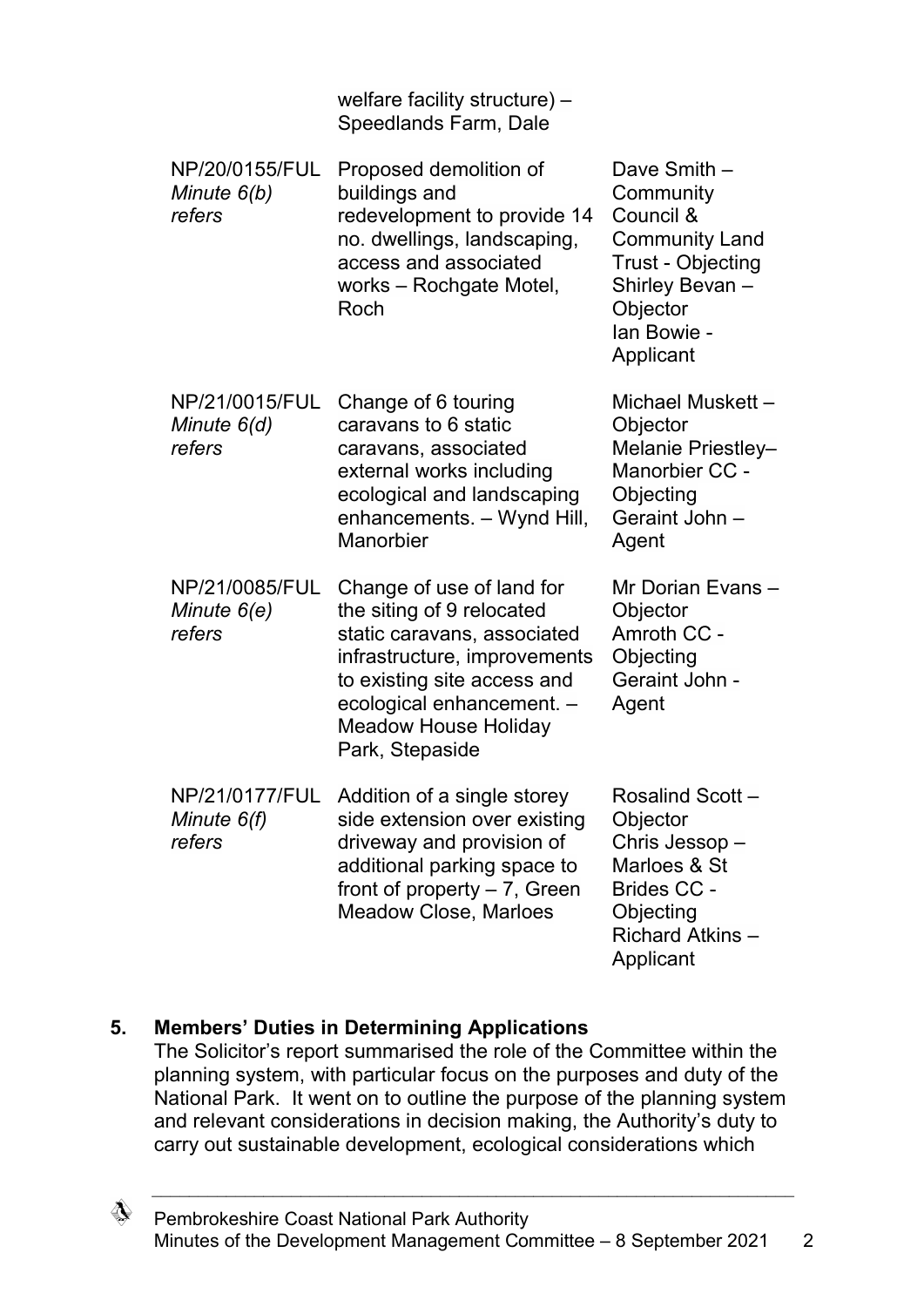|                                           | welfare facility structure) -<br>Speedlands Farm, Dale                                                                                                                                                                              |                                                                                                                                                        |
|-------------------------------------------|-------------------------------------------------------------------------------------------------------------------------------------------------------------------------------------------------------------------------------------|--------------------------------------------------------------------------------------------------------------------------------------------------------|
| NP/20/0155/FUL<br>Minute $6(b)$<br>refers | Proposed demolition of<br>buildings and<br>redevelopment to provide 14<br>no. dwellings, landscaping,<br>access and associated<br>works – Rochgate Motel,<br>Roch                                                                   | Dave Smith -<br>Community<br>Council &<br><b>Community Land</b><br><b>Trust - Objecting</b><br>Shirley Bevan -<br>Objector<br>Ian Bowie -<br>Applicant |
| NP/21/0015/FUL<br>Minute 6(d)<br>refers   | Change of 6 touring<br>caravans to 6 static<br>caravans, associated<br>external works including<br>ecological and landscaping<br>enhancements. - Wynd Hill,<br>Manorbier                                                            | Michael Muskett -<br>Objector<br>Melanie Priestley-<br>Manorbier CC -<br>Objecting<br>Geraint John -<br>Agent                                          |
| NP/21/0085/FUL<br>Minute $6(e)$<br>refers | Change of use of land for<br>the siting of 9 relocated<br>static caravans, associated<br>infrastructure, improvements<br>to existing site access and<br>ecological enhancement. -<br><b>Meadow House Holiday</b><br>Park, Stepaside | Mr Dorian Evans -<br>Objector<br>Amroth CC -<br>Objecting<br>Geraint John -<br>Agent                                                                   |
| NP/21/0177/FUL<br>Minute $6(f)$<br>refers | Addition of a single storey<br>side extension over existing<br>driveway and provision of<br>additional parking space to<br>front of property $-7$ , Green<br><b>Meadow Close, Marloes</b>                                           | Rosalind Scott-<br>Objector<br>Chris Jessop-<br>Marloes & St<br>Brides CC -<br>Objecting<br>Richard Atkins-<br>Applicant                               |

### **5. Members' Duties in Determining Applications**

The Solicitor's report summarised the role of the Committee within the planning system, with particular focus on the purposes and duty of the National Park. It went on to outline the purpose of the planning system and relevant considerations in decision making, the Authority's duty to carry out sustainable development, ecological considerations which

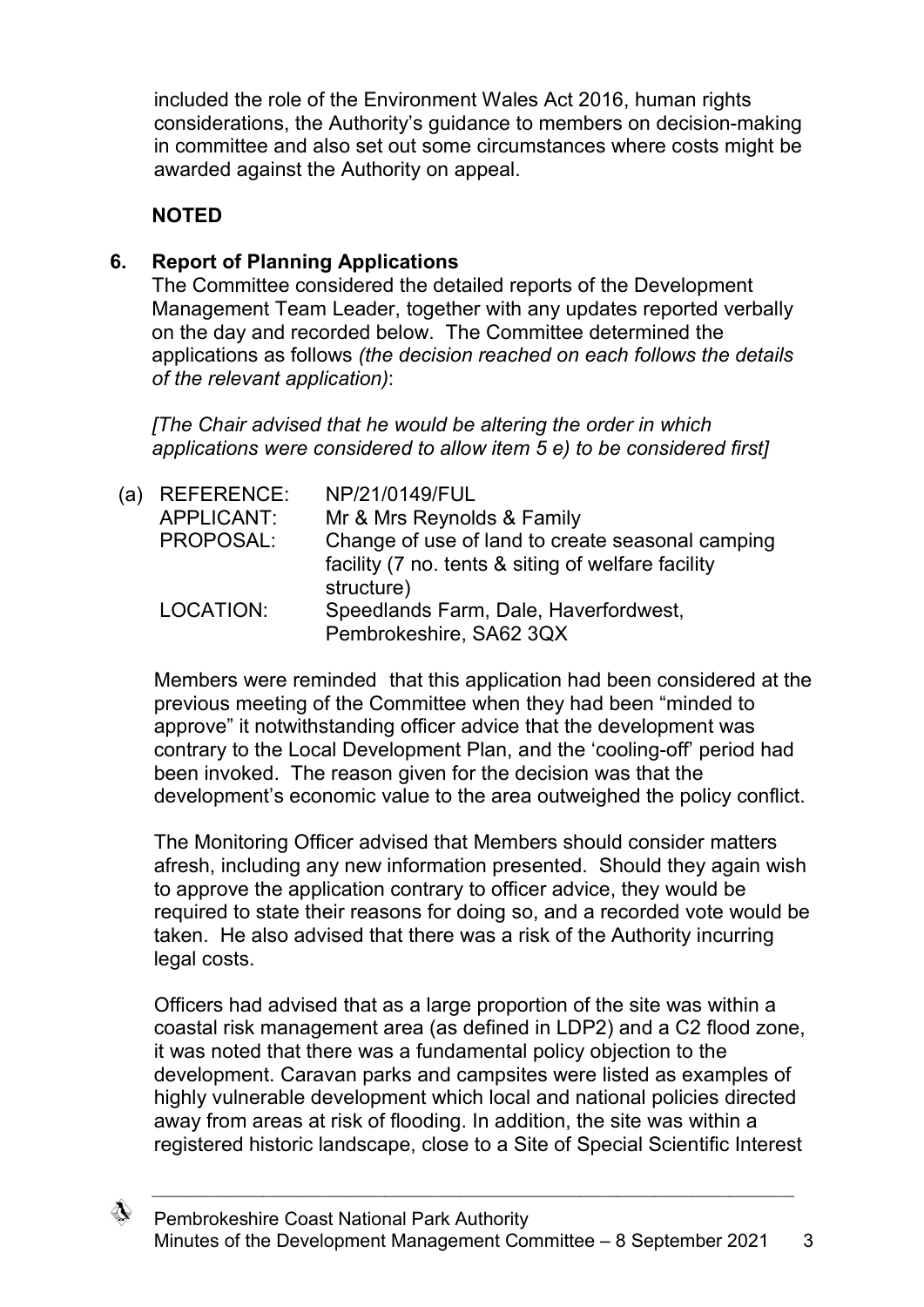included the role of the Environment Wales Act 2016, human rights considerations, the Authority's guidance to members on decision-making in committee and also set out some circumstances where costs might be awarded against the Authority on appeal.

# **NOTED**

## **6. Report of Planning Applications**

The Committee considered the detailed reports of the Development Management Team Leader, together with any updates reported verbally on the day and recorded below. The Committee determined the applications as follows *(the decision reached on each follows the details of the relevant application)*:

*[The Chair advised that he would be altering the order in which applications were considered to allow item 5 e) to be considered first]*

| (a) | <b>REFERENCE:</b> | NP/21/0149/FUL                                     |
|-----|-------------------|----------------------------------------------------|
|     | APPLICANT:        | Mr & Mrs Reynolds & Family                         |
|     | PROPOSAL:         | Change of use of land to create seasonal camping   |
|     |                   | facility (7 no. tents & siting of welfare facility |
|     |                   | structure)                                         |
|     | LOCATION:         | Speedlands Farm, Dale, Haverfordwest,              |
|     |                   | Pembrokeshire, SA62 3QX                            |

Members were reminded that this application had been considered at the previous meeting of the Committee when they had been "minded to approve" it notwithstanding officer advice that the development was contrary to the Local Development Plan, and the 'cooling-off' period had been invoked. The reason given for the decision was that the development's economic value to the area outweighed the policy conflict.

The Monitoring Officer advised that Members should consider matters afresh, including any new information presented. Should they again wish to approve the application contrary to officer advice, they would be required to state their reasons for doing so, and a recorded vote would be taken. He also advised that there was a risk of the Authority incurring legal costs.

Officers had advised that as a large proportion of the site was within a coastal risk management area (as defined in LDP2) and a C2 flood zone, it was noted that there was a fundamental policy objection to the development. Caravan parks and campsites were listed as examples of highly vulnerable development which local and national policies directed away from areas at risk of flooding. In addition, the site was within a registered historic landscape, close to a Site of Special Scientific Interest

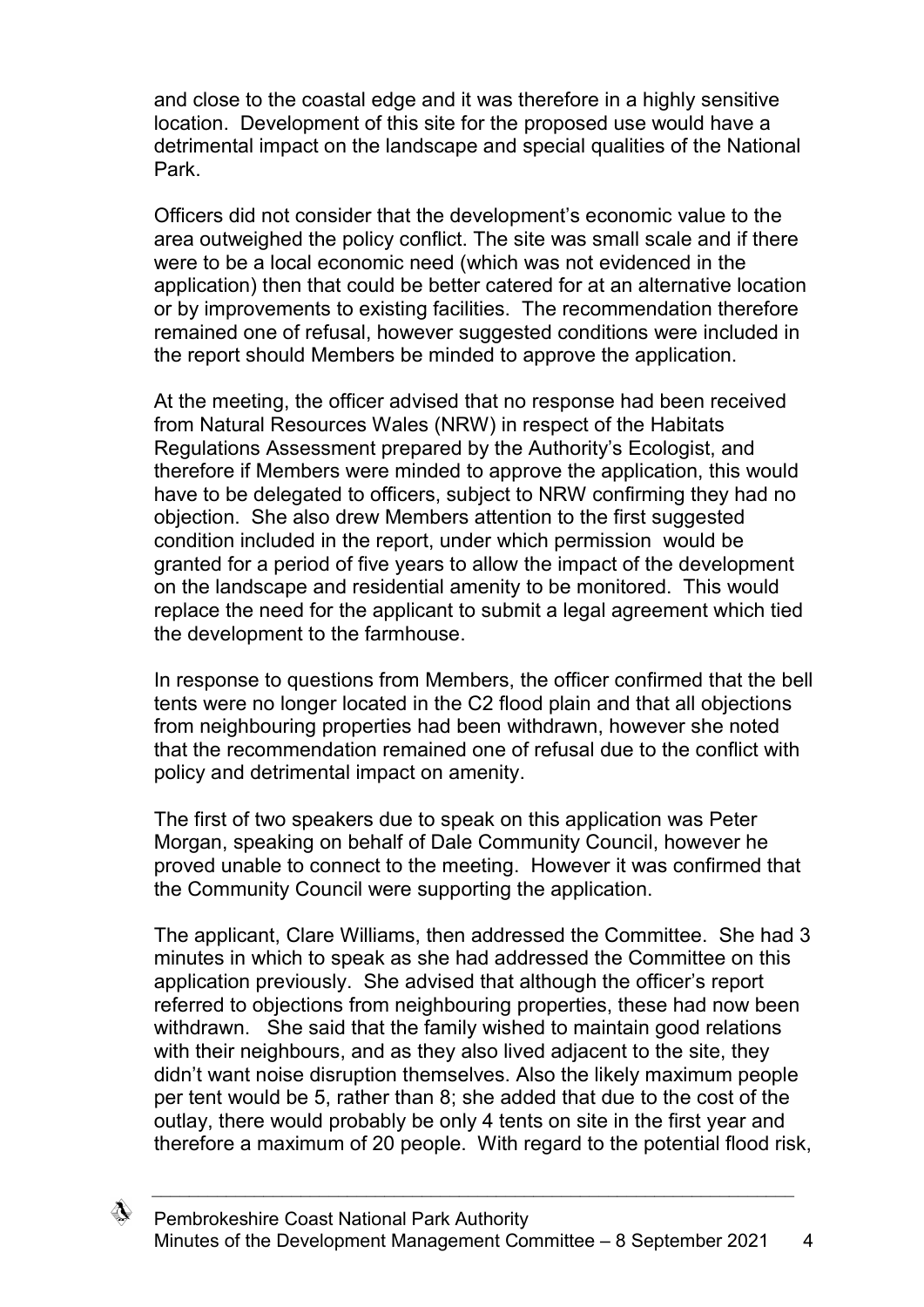and close to the coastal edge and it was therefore in a highly sensitive location. Development of this site for the proposed use would have a detrimental impact on the landscape and special qualities of the National Park.

Officers did not consider that the development's economic value to the area outweighed the policy conflict. The site was small scale and if there were to be a local economic need (which was not evidenced in the application) then that could be better catered for at an alternative location or by improvements to existing facilities. The recommendation therefore remained one of refusal, however suggested conditions were included in the report should Members be minded to approve the application.

At the meeting, the officer advised that no response had been received from Natural Resources Wales (NRW) in respect of the Habitats Regulations Assessment prepared by the Authority's Ecologist, and therefore if Members were minded to approve the application, this would have to be delegated to officers, subject to NRW confirming they had no objection. She also drew Members attention to the first suggested condition included in the report, under which permission would be granted for a period of five years to allow the impact of the development on the landscape and residential amenity to be monitored. This would replace the need for the applicant to submit a legal agreement which tied the development to the farmhouse.

In response to questions from Members, the officer confirmed that the bell tents were no longer located in the C2 flood plain and that all objections from neighbouring properties had been withdrawn, however she noted that the recommendation remained one of refusal due to the conflict with policy and detrimental impact on amenity.

The first of two speakers due to speak on this application was Peter Morgan, speaking on behalf of Dale Community Council, however he proved unable to connect to the meeting. However it was confirmed that the Community Council were supporting the application.

The applicant, Clare Williams, then addressed the Committee. She had 3 minutes in which to speak as she had addressed the Committee on this application previously. She advised that although the officer's report referred to objections from neighbouring properties, these had now been withdrawn. She said that the family wished to maintain good relations with their neighbours, and as they also lived adiacent to the site, they didn't want noise disruption themselves. Also the likely maximum people per tent would be 5, rather than 8; she added that due to the cost of the outlay, there would probably be only 4 tents on site in the first year and therefore a maximum of 20 people. With regard to the potential flood risk,

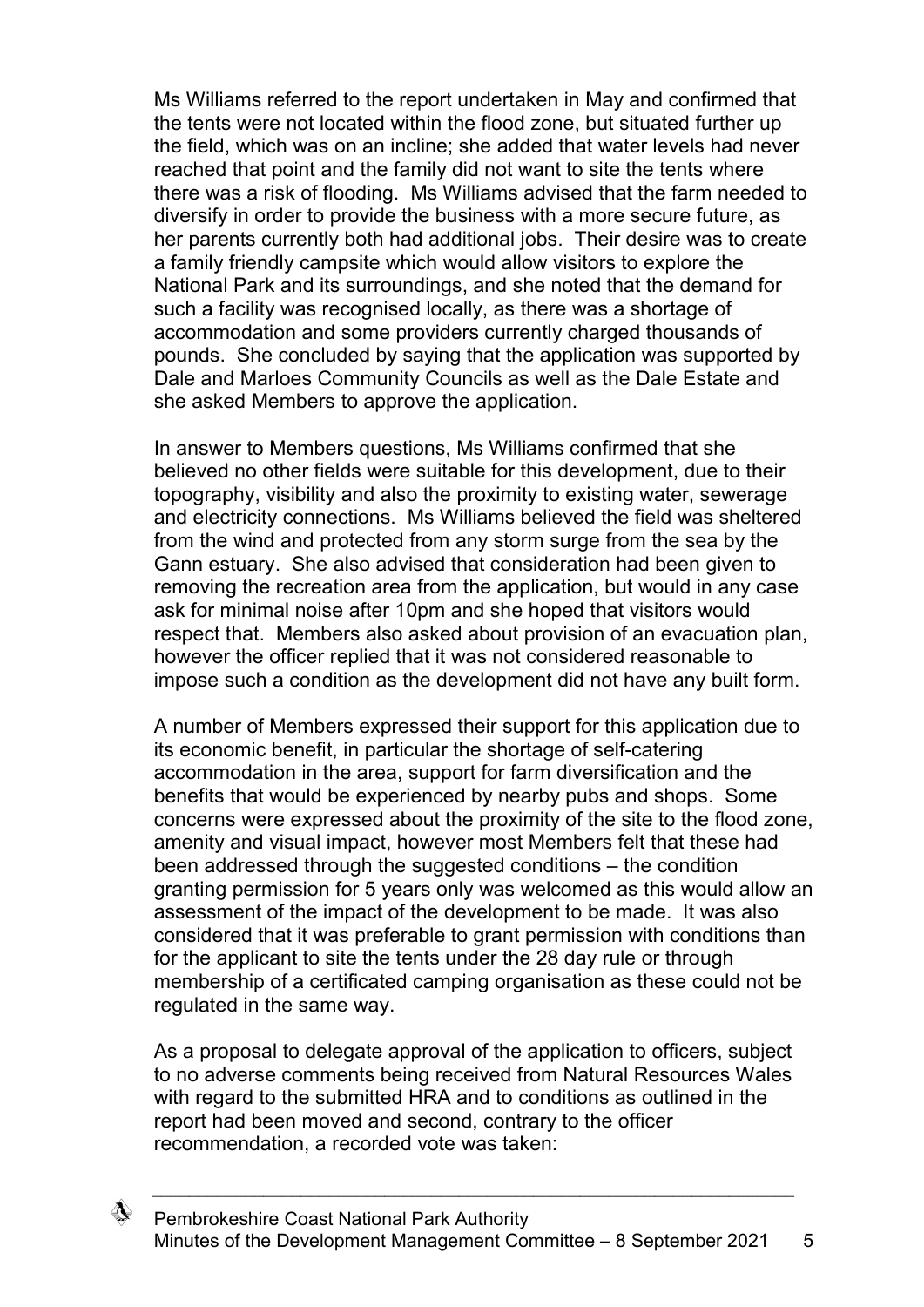Ms Williams referred to the report undertaken in May and confirmed that the tents were not located within the flood zone, but situated further up the field, which was on an incline; she added that water levels had never reached that point and the family did not want to site the tents where there was a risk of flooding. Ms Williams advised that the farm needed to diversify in order to provide the business with a more secure future, as her parents currently both had additional jobs. Their desire was to create a family friendly campsite which would allow visitors to explore the National Park and its surroundings, and she noted that the demand for such a facility was recognised locally, as there was a shortage of accommodation and some providers currently charged thousands of pounds. She concluded by saying that the application was supported by Dale and Marloes Community Councils as well as the Dale Estate and she asked Members to approve the application.

In answer to Members questions, Ms Williams confirmed that she believed no other fields were suitable for this development, due to their topography, visibility and also the proximity to existing water, sewerage and electricity connections. Ms Williams believed the field was sheltered from the wind and protected from any storm surge from the sea by the Gann estuary. She also advised that consideration had been given to removing the recreation area from the application, but would in any case ask for minimal noise after 10pm and she hoped that visitors would respect that. Members also asked about provision of an evacuation plan, however the officer replied that it was not considered reasonable to impose such a condition as the development did not have any built form.

A number of Members expressed their support for this application due to its economic benefit, in particular the shortage of self-catering accommodation in the area, support for farm diversification and the benefits that would be experienced by nearby pubs and shops. Some concerns were expressed about the proximity of the site to the flood zone, amenity and visual impact, however most Members felt that these had been addressed through the suggested conditions – the condition granting permission for 5 years only was welcomed as this would allow an assessment of the impact of the development to be made. It was also considered that it was preferable to grant permission with conditions than for the applicant to site the tents under the 28 day rule or through membership of a certificated camping organisation as these could not be regulated in the same way.

As a proposal to delegate approval of the application to officers, subject to no adverse comments being received from Natural Resources Wales with regard to the submitted HRA and to conditions as outlined in the report had been moved and second, contrary to the officer recommendation, a recorded vote was taken:

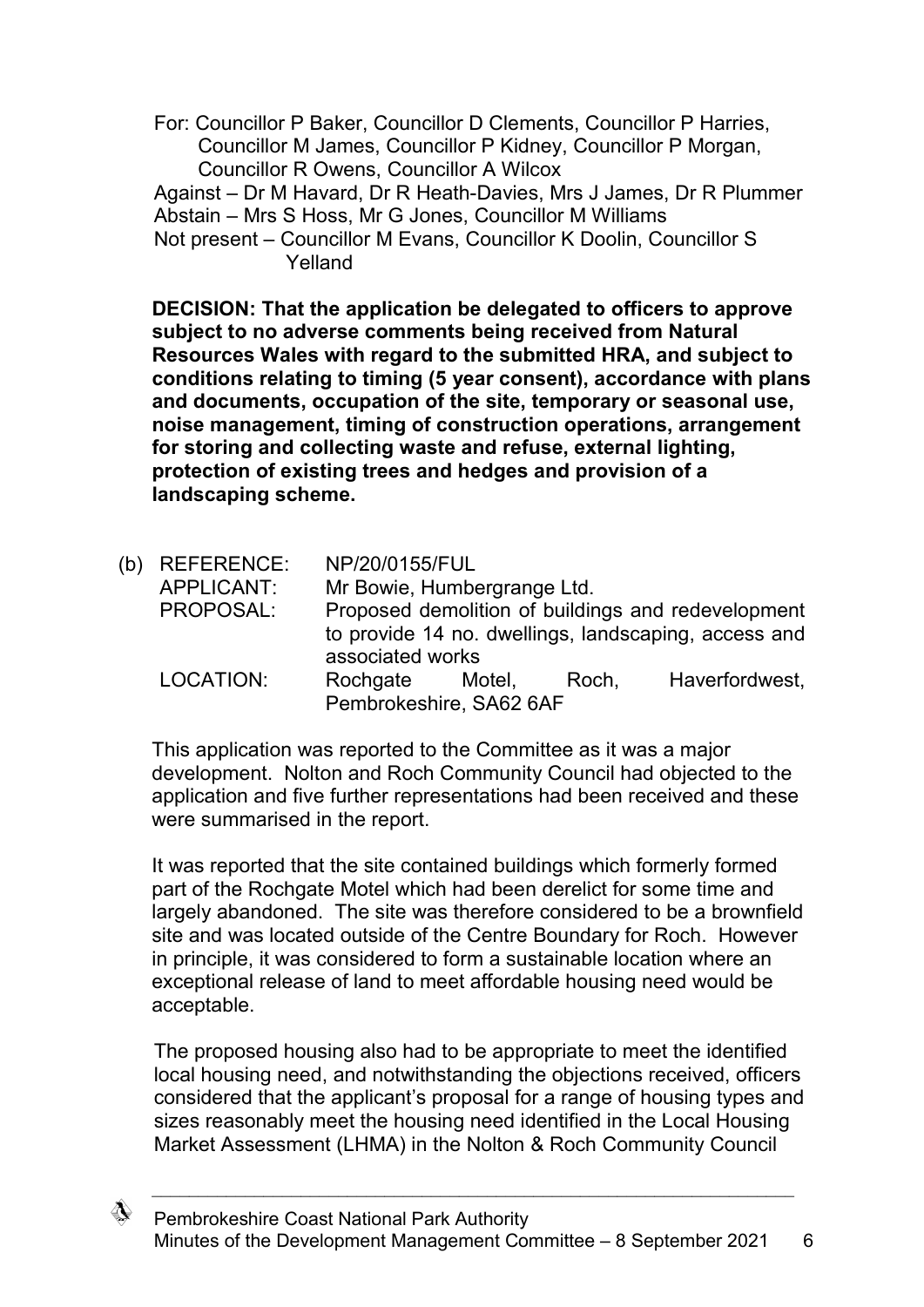For: Councillor P Baker, Councillor D Clements, Councillor P Harries, Councillor M James, Councillor P Kidney, Councillor P Morgan, Councillor R Owens, Councillor A Wilcox

Against – Dr M Havard, Dr R Heath-Davies, Mrs J James, Dr R Plummer Abstain – Mrs S Hoss, Mr G Jones, Councillor M Williams

**DECISION: That the application be delegated to officers to approve subject to no adverse comments being received from Natural Resources Wales with regard to the submitted HRA, and subject to conditions relating to timing (5 year consent), accordance with plans and documents, occupation of the site, temporary or seasonal use, noise management, timing of construction operations, arrangement for storing and collecting waste and refuse, external lighting, protection of existing trees and hedges and provision of a landscaping scheme.**

(b) REFERENCE: NP/20/0155/FUL APPLICANT: Mr Bowie, Humbergrange Ltd. PROPOSAL: Proposed demolition of buildings and redevelopment to provide 14 no. dwellings, landscaping, access and associated works LOCATION: Rochgate Motel, Roch, Haverfordwest, Pembrokeshire, SA62 6AF

This application was reported to the Committee as it was a major development. Nolton and Roch Community Council had objected to the application and five further representations had been received and these were summarised in the report.

It was reported that the site contained buildings which formerly formed part of the Rochgate Motel which had been derelict for some time and largely abandoned. The site was therefore considered to be a brownfield site and was located outside of the Centre Boundary for Roch. However in principle, it was considered to form a sustainable location where an exceptional release of land to meet affordable housing need would be acceptable.

The proposed housing also had to be appropriate to meet the identified local housing need, and notwithstanding the objections received, officers considered that the applicant's proposal for a range of housing types and sizes reasonably meet the housing need identified in the Local Housing Market Assessment (LHMA) in the Nolton & Roch Community Council



Not present – Councillor M Evans, Councillor K Doolin, Councillor S Yelland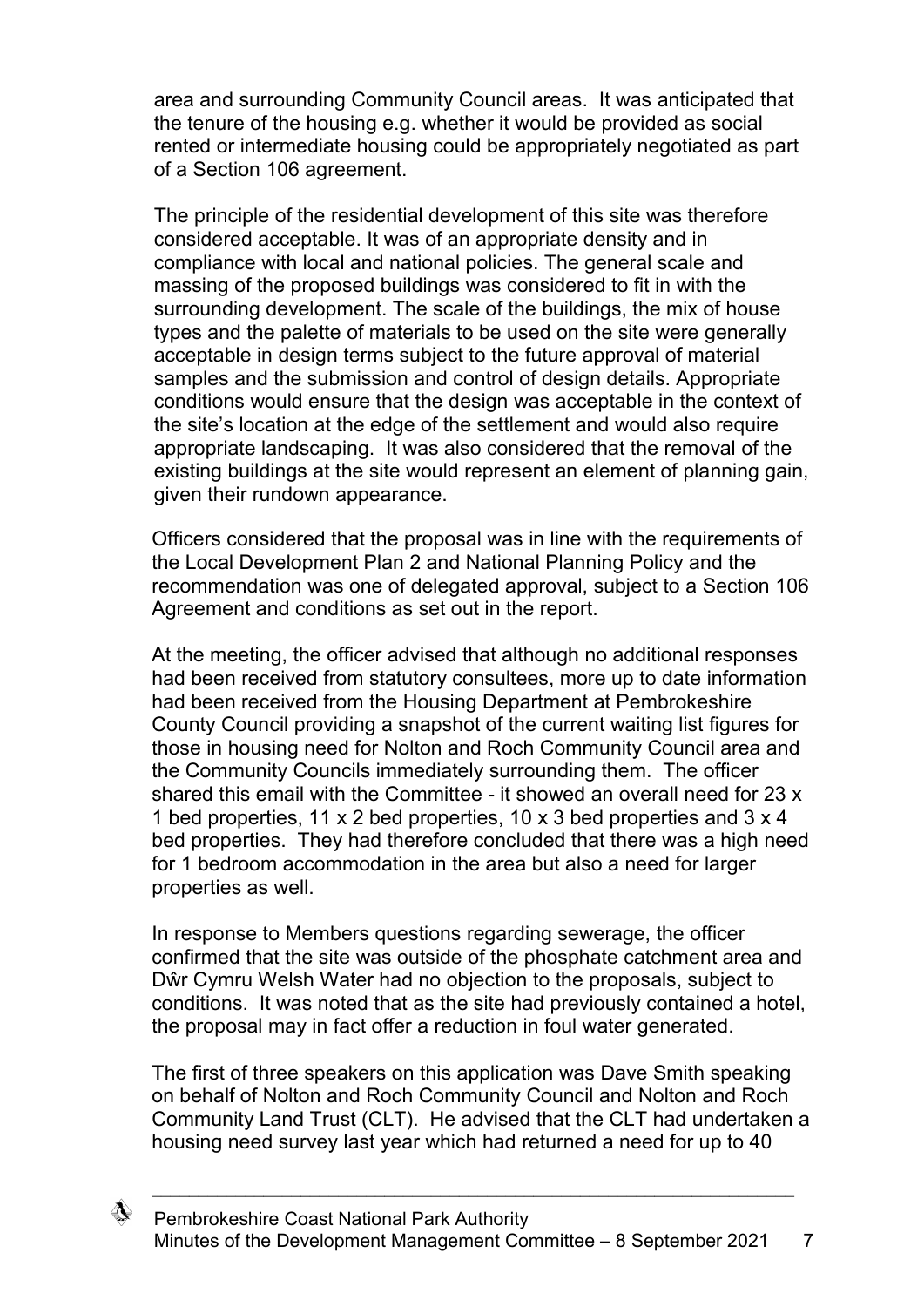area and surrounding Community Council areas. It was anticipated that the tenure of the housing e.g. whether it would be provided as social rented or intermediate housing could be appropriately negotiated as part of a Section 106 agreement.

The principle of the residential development of this site was therefore considered acceptable. It was of an appropriate density and in compliance with local and national policies. The general scale and massing of the proposed buildings was considered to fit in with the surrounding development. The scale of the buildings, the mix of house types and the palette of materials to be used on the site were generally acceptable in design terms subject to the future approval of material samples and the submission and control of design details. Appropriate conditions would ensure that the design was acceptable in the context of the site's location at the edge of the settlement and would also require appropriate landscaping. It was also considered that the removal of the existing buildings at the site would represent an element of planning gain, given their rundown appearance.

Officers considered that the proposal was in line with the requirements of the Local Development Plan 2 and National Planning Policy and the recommendation was one of delegated approval, subject to a Section 106 Agreement and conditions as set out in the report.

At the meeting, the officer advised that although no additional responses had been received from statutory consultees, more up to date information had been received from the Housing Department at Pembrokeshire County Council providing a snapshot of the current waiting list figures for those in housing need for Nolton and Roch Community Council area and the Community Councils immediately surrounding them. The officer shared this email with the Committee - it showed an overall need for 23 x 1 bed properties, 11 x 2 bed properties, 10 x 3 bed properties and 3 x 4 bed properties. They had therefore concluded that there was a high need for 1 bedroom accommodation in the area but also a need for larger properties as well.

In response to Members questions regarding sewerage, the officer confirmed that the site was outside of the phosphate catchment area and Dŵr Cymru Welsh Water had no objection to the proposals, subject to conditions. It was noted that as the site had previously contained a hotel, the proposal may in fact offer a reduction in foul water generated.

The first of three speakers on this application was Dave Smith speaking on behalf of Nolton and Roch Community Council and Nolton and Roch Community Land Trust (CLT). He advised that the CLT had undertaken a housing need survey last year which had returned a need for up to 40

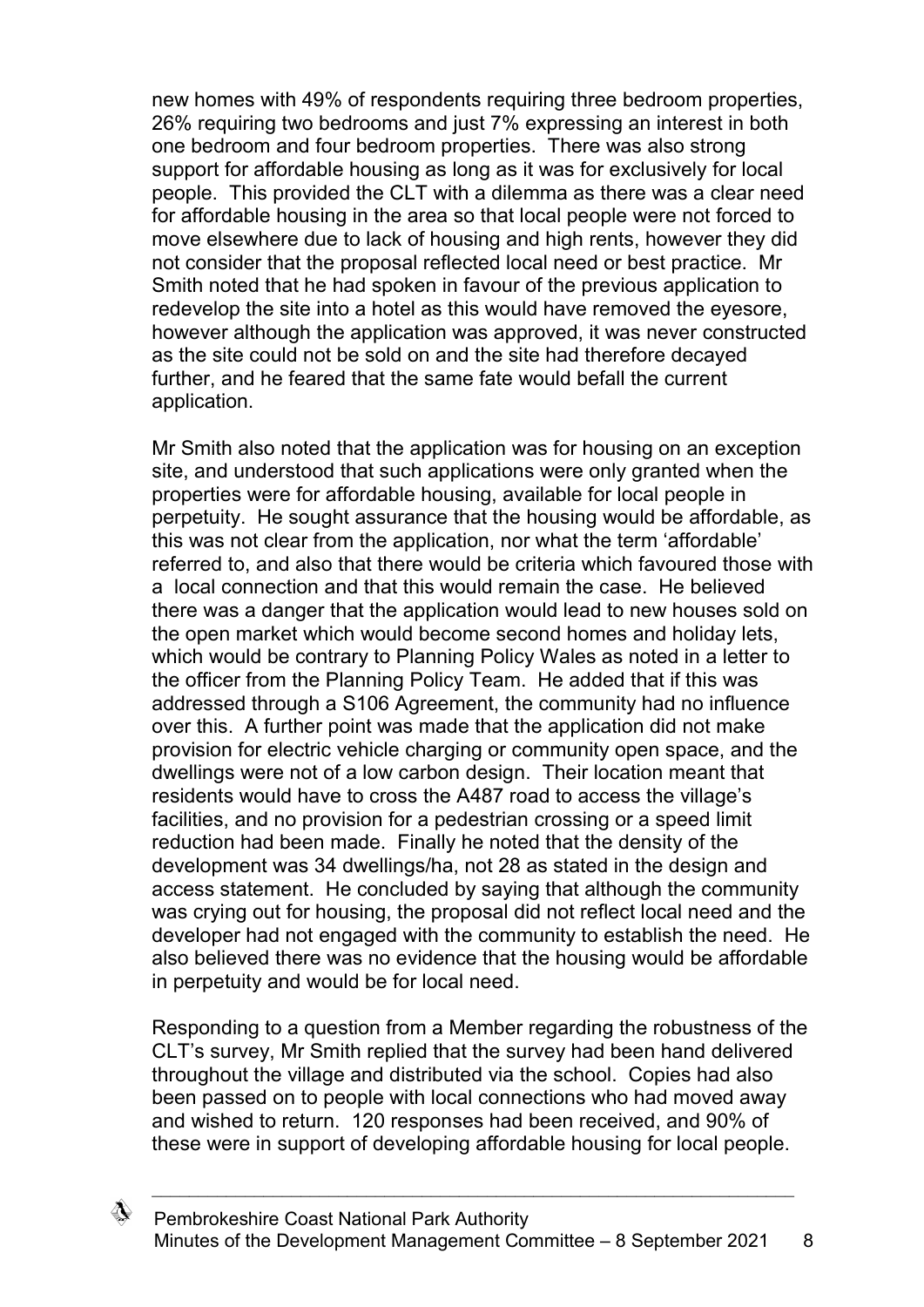new homes with 49% of respondents requiring three bedroom properties, 26% requiring two bedrooms and just 7% expressing an interest in both one bedroom and four bedroom properties. There was also strong support for affordable housing as long as it was for exclusively for local people. This provided the CLT with a dilemma as there was a clear need for affordable housing in the area so that local people were not forced to move elsewhere due to lack of housing and high rents, however they did not consider that the proposal reflected local need or best practice. Mr Smith noted that he had spoken in favour of the previous application to redevelop the site into a hotel as this would have removed the eyesore, however although the application was approved, it was never constructed as the site could not be sold on and the site had therefore decayed further, and he feared that the same fate would befall the current application.

Mr Smith also noted that the application was for housing on an exception site, and understood that such applications were only granted when the properties were for affordable housing, available for local people in perpetuity. He sought assurance that the housing would be affordable, as this was not clear from the application, nor what the term 'affordable' referred to, and also that there would be criteria which favoured those with a local connection and that this would remain the case. He believed there was a danger that the application would lead to new houses sold on the open market which would become second homes and holiday lets, which would be contrary to Planning Policy Wales as noted in a letter to the officer from the Planning Policy Team. He added that if this was addressed through a S106 Agreement, the community had no influence over this. A further point was made that the application did not make provision for electric vehicle charging or community open space, and the dwellings were not of a low carbon design. Their location meant that residents would have to cross the A487 road to access the village's facilities, and no provision for a pedestrian crossing or a speed limit reduction had been made. Finally he noted that the density of the development was 34 dwellings/ha, not 28 as stated in the design and access statement. He concluded by saying that although the community was crying out for housing, the proposal did not reflect local need and the developer had not engaged with the community to establish the need. He also believed there was no evidence that the housing would be affordable in perpetuity and would be for local need.

Responding to a question from a Member regarding the robustness of the CLT's survey, Mr Smith replied that the survey had been hand delivered throughout the village and distributed via the school. Copies had also been passed on to people with local connections who had moved away and wished to return. 120 responses had been received, and 90% of these were in support of developing affordable housing for local people.

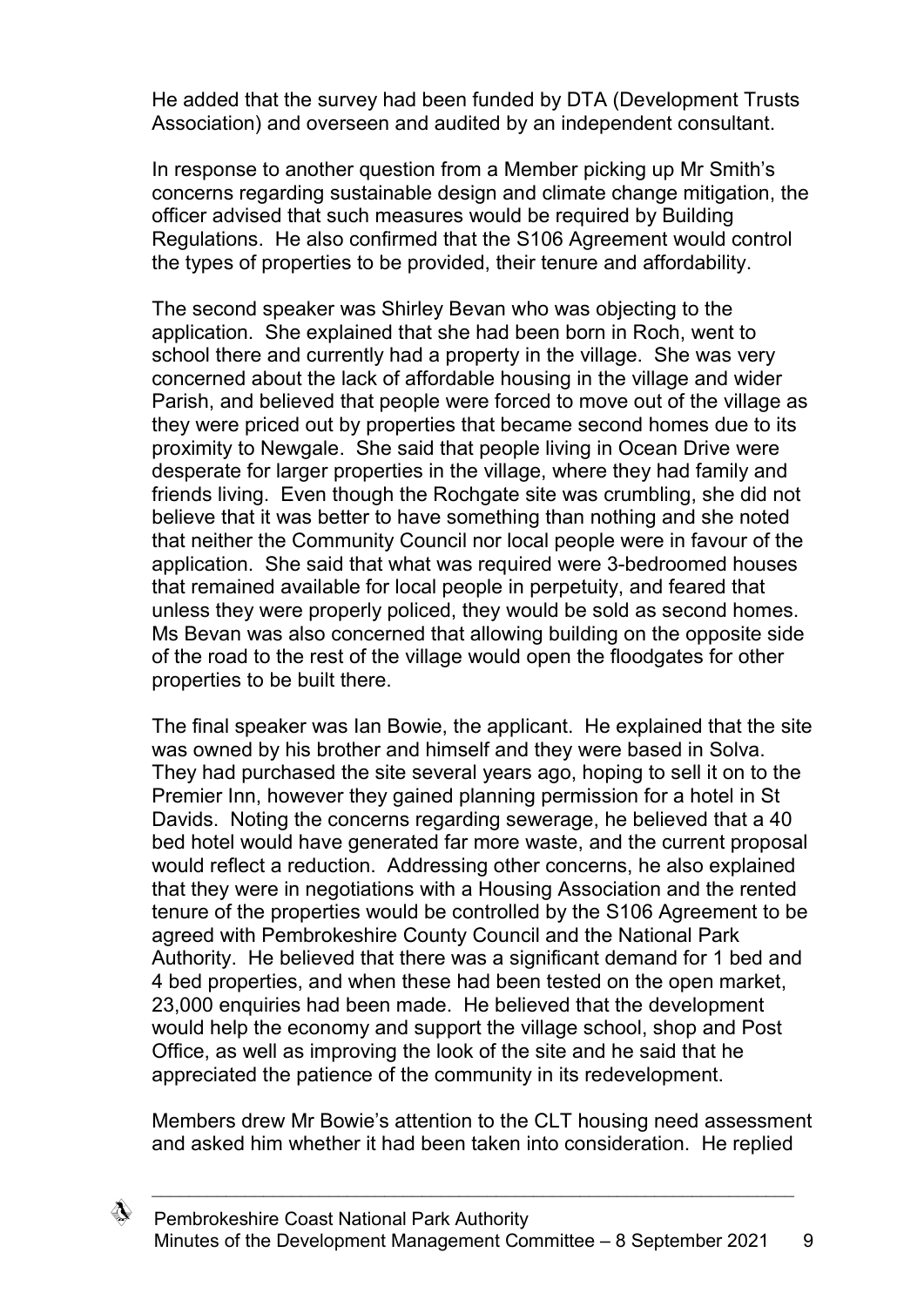He added that the survey had been funded by DTA (Development Trusts Association) and overseen and audited by an independent consultant.

In response to another question from a Member picking up Mr Smith's concerns regarding sustainable design and climate change mitigation, the officer advised that such measures would be required by Building Regulations. He also confirmed that the S106 Agreement would control the types of properties to be provided, their tenure and affordability.

The second speaker was Shirley Bevan who was objecting to the application. She explained that she had been born in Roch, went to school there and currently had a property in the village. She was very concerned about the lack of affordable housing in the village and wider Parish, and believed that people were forced to move out of the village as they were priced out by properties that became second homes due to its proximity to Newgale. She said that people living in Ocean Drive were desperate for larger properties in the village, where they had family and friends living. Even though the Rochgate site was crumbling, she did not believe that it was better to have something than nothing and she noted that neither the Community Council nor local people were in favour of the application. She said that what was required were 3-bedroomed houses that remained available for local people in perpetuity, and feared that unless they were properly policed, they would be sold as second homes. Ms Bevan was also concerned that allowing building on the opposite side of the road to the rest of the village would open the floodgates for other properties to be built there.

The final speaker was Ian Bowie, the applicant. He explained that the site was owned by his brother and himself and they were based in Solva. They had purchased the site several years ago, hoping to sell it on to the Premier Inn, however they gained planning permission for a hotel in St Davids. Noting the concerns regarding sewerage, he believed that a 40 bed hotel would have generated far more waste, and the current proposal would reflect a reduction. Addressing other concerns, he also explained that they were in negotiations with a Housing Association and the rented tenure of the properties would be controlled by the S106 Agreement to be agreed with Pembrokeshire County Council and the National Park Authority. He believed that there was a significant demand for 1 bed and 4 bed properties, and when these had been tested on the open market, 23,000 enquiries had been made. He believed that the development would help the economy and support the village school, shop and Post Office, as well as improving the look of the site and he said that he appreciated the patience of the community in its redevelopment.

Members drew Mr Bowie's attention to the CLT housing need assessment and asked him whether it had been taken into consideration. He replied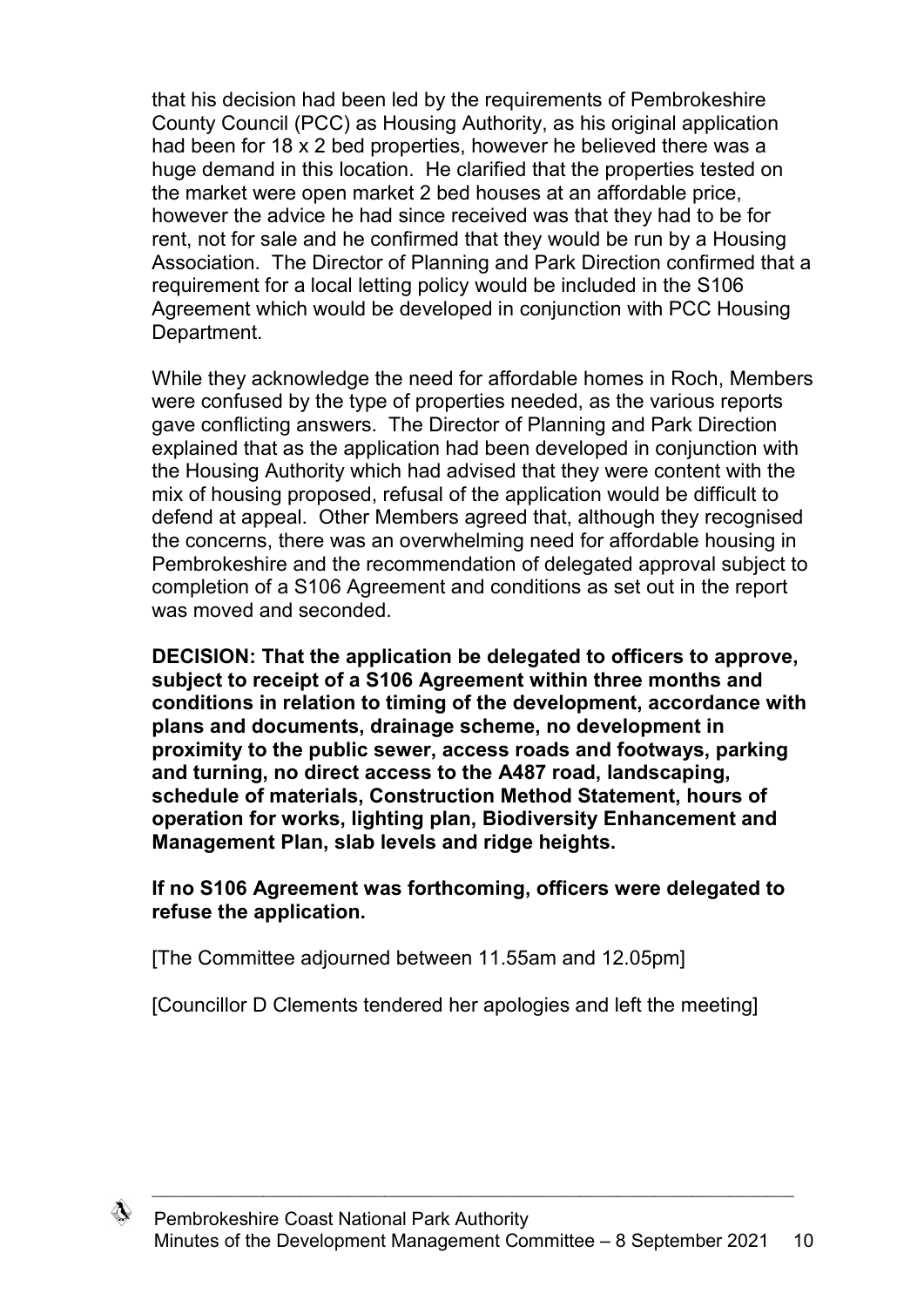that his decision had been led by the requirements of Pembrokeshire County Council (PCC) as Housing Authority, as his original application had been for 18 x 2 bed properties, however he believed there was a huge demand in this location. He clarified that the properties tested on the market were open market 2 bed houses at an affordable price, however the advice he had since received was that they had to be for rent, not for sale and he confirmed that they would be run by a Housing Association. The Director of Planning and Park Direction confirmed that a requirement for a local letting policy would be included in the S106 Agreement which would be developed in conjunction with PCC Housing Department.

While they acknowledge the need for affordable homes in Roch, Members were confused by the type of properties needed, as the various reports gave conflicting answers. The Director of Planning and Park Direction explained that as the application had been developed in conjunction with the Housing Authority which had advised that they were content with the mix of housing proposed, refusal of the application would be difficult to defend at appeal. Other Members agreed that, although they recognised the concerns, there was an overwhelming need for affordable housing in Pembrokeshire and the recommendation of delegated approval subject to completion of a S106 Agreement and conditions as set out in the report was moved and seconded.

**DECISION: That the application be delegated to officers to approve, subject to receipt of a S106 Agreement within three months and conditions in relation to timing of the development, accordance with plans and documents, drainage scheme, no development in proximity to the public sewer, access roads and footways, parking and turning, no direct access to the A487 road, landscaping, schedule of materials, Construction Method Statement, hours of operation for works, lighting plan, Biodiversity Enhancement and Management Plan, slab levels and ridge heights.** 

### **If no S106 Agreement was forthcoming, officers were delegated to refuse the application.**

[The Committee adjourned between 11.55am and 12.05pm]

[Councillor D Clements tendered her apologies and left the meeting]

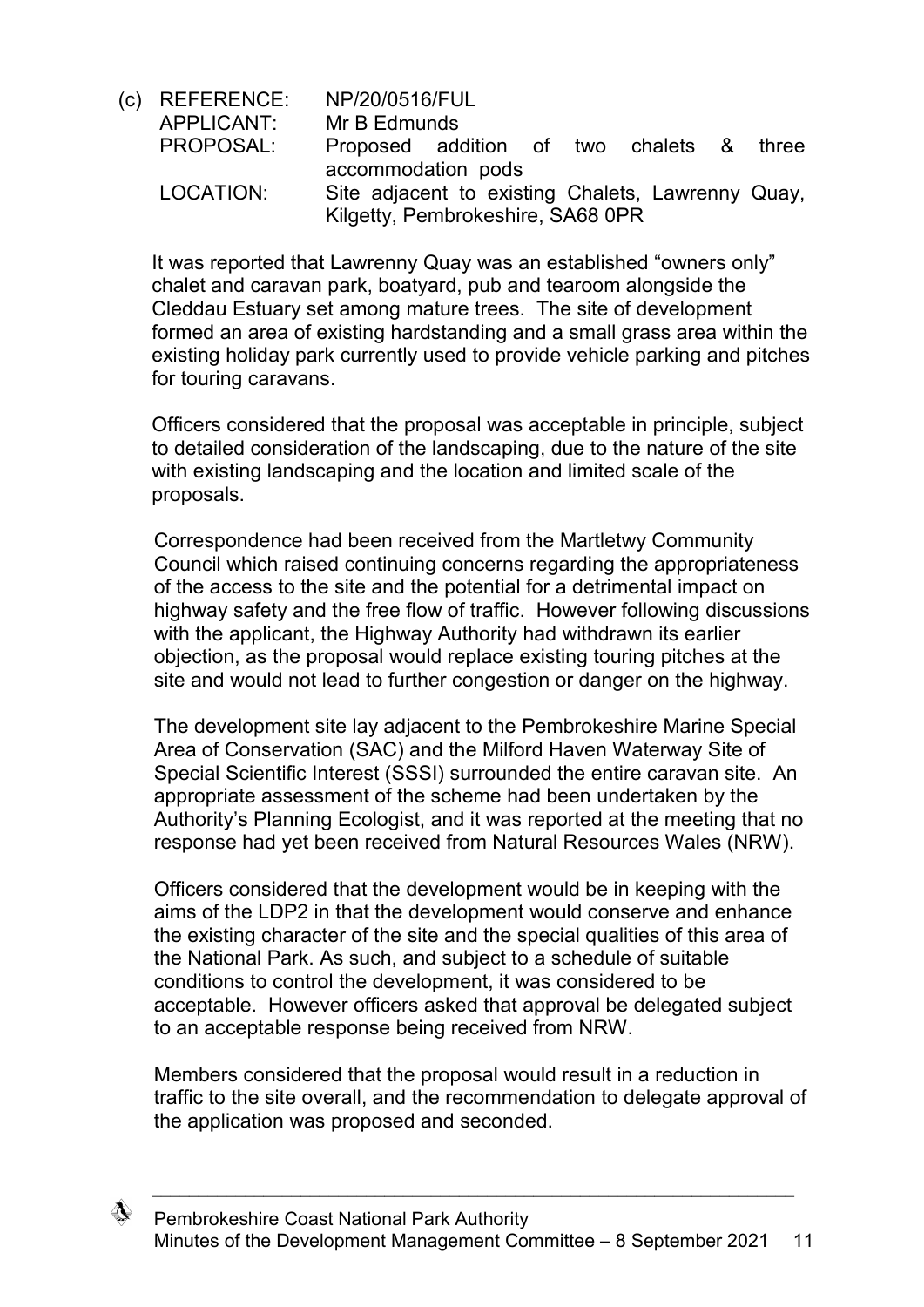(c) REFERENCE: NP/20/0516/FUL APPLICANT: Mr B Edmunds PROPOSAL: Proposed addition of two chalets & three accommodation pods LOCATION: Site adjacent to existing Chalets, Lawrenny Quay, Kilgetty, Pembrokeshire, SA68 0PR

It was reported that Lawrenny Quay was an established "owners only" chalet and caravan park, boatyard, pub and tearoom alongside the Cleddau Estuary set among mature trees. The site of development formed an area of existing hardstanding and a small grass area within the existing holiday park currently used to provide vehicle parking and pitches for touring caravans.

Officers considered that the proposal was acceptable in principle, subject to detailed consideration of the landscaping, due to the nature of the site with existing landscaping and the location and limited scale of the proposals.

Correspondence had been received from the Martletwy Community Council which raised continuing concerns regarding the appropriateness of the access to the site and the potential for a detrimental impact on highway safety and the free flow of traffic. However following discussions with the applicant, the Highway Authority had withdrawn its earlier objection, as the proposal would replace existing touring pitches at the site and would not lead to further congestion or danger on the highway.

The development site lay adjacent to the Pembrokeshire Marine Special Area of Conservation (SAC) and the Milford Haven Waterway Site of Special Scientific Interest (SSSI) surrounded the entire caravan site. An appropriate assessment of the scheme had been undertaken by the Authority's Planning Ecologist, and it was reported at the meeting that no response had yet been received from Natural Resources Wales (NRW).

Officers considered that the development would be in keeping with the aims of the LDP2 in that the development would conserve and enhance the existing character of the site and the special qualities of this area of the National Park. As such, and subject to a schedule of suitable conditions to control the development, it was considered to be acceptable. However officers asked that approval be delegated subject to an acceptable response being received from NRW.

Members considered that the proposal would result in a reduction in traffic to the site overall, and the recommendation to delegate approval of the application was proposed and seconded.

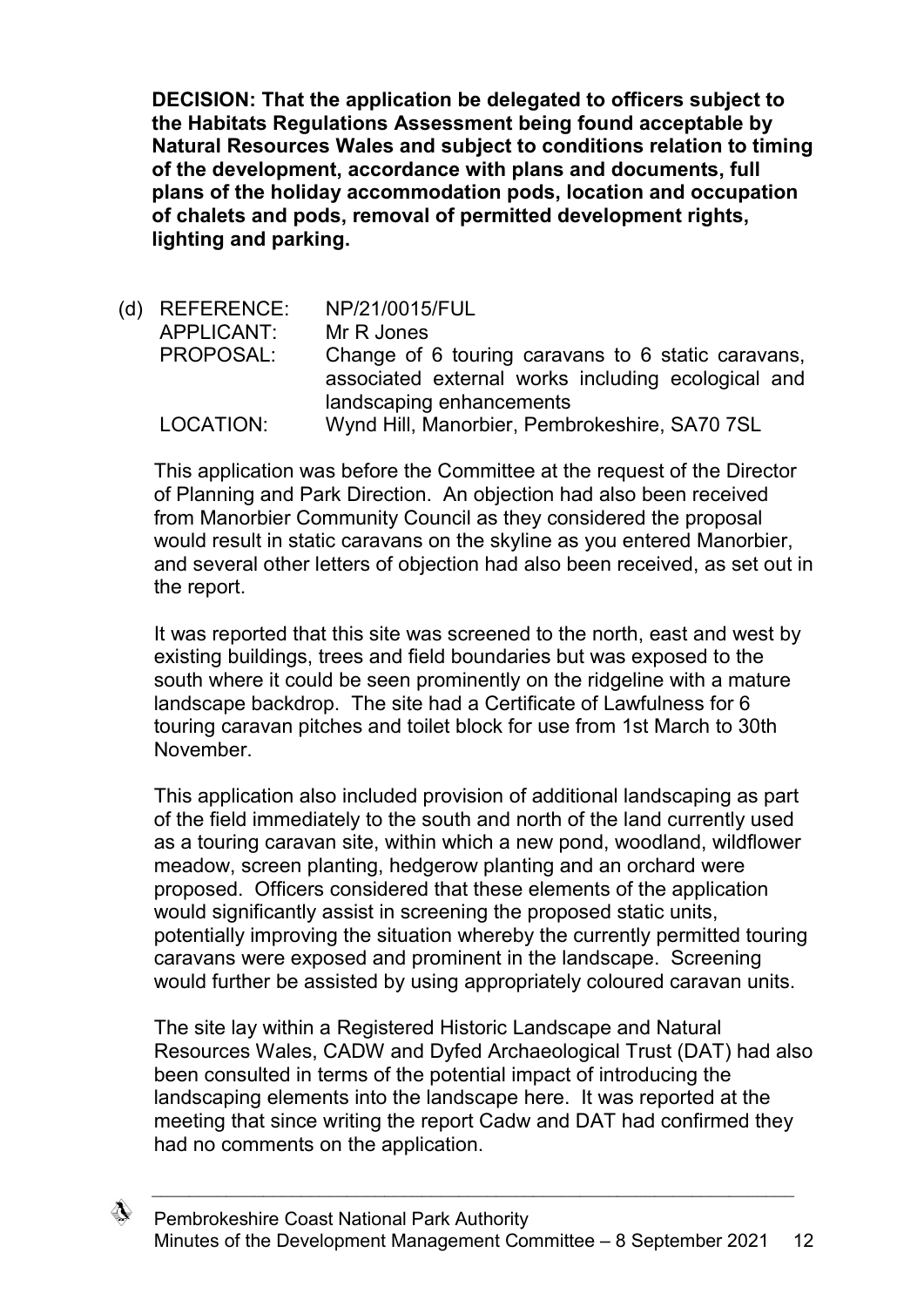**DECISION: That the application be delegated to officers subject to the Habitats Regulations Assessment being found acceptable by Natural Resources Wales and subject to conditions relation to timing of the development, accordance with plans and documents, full plans of the holiday accommodation pods, location and occupation of chalets and pods, removal of permitted development rights, lighting and parking.**

(d) REFERENCE: NP/21/0015/FUL APPLICANT: Mr R Jones PROPOSAL: Change of 6 touring caravans to 6 static caravans, associated external works including ecological and landscaping enhancements LOCATION: Wynd Hill, Manorbier, Pembrokeshire, SA70 7SL

This application was before the Committee at the request of the Director of Planning and Park Direction. An objection had also been received from Manorbier Community Council as they considered the proposal would result in static caravans on the skyline as you entered Manorbier, and several other letters of objection had also been received, as set out in the report.

It was reported that this site was screened to the north, east and west by existing buildings, trees and field boundaries but was exposed to the south where it could be seen prominently on the ridgeline with a mature landscape backdrop. The site had a Certificate of Lawfulness for 6 touring caravan pitches and toilet block for use from 1st March to 30th November.

This application also included provision of additional landscaping as part of the field immediately to the south and north of the land currently used as a touring caravan site, within which a new pond, woodland, wildflower meadow, screen planting, hedgerow planting and an orchard were proposed. Officers considered that these elements of the application would significantly assist in screening the proposed static units, potentially improving the situation whereby the currently permitted touring caravans were exposed and prominent in the landscape. Screening would further be assisted by using appropriately coloured caravan units.

The site lay within a Registered Historic Landscape and Natural Resources Wales, CADW and Dyfed Archaeological Trust (DAT) had also been consulted in terms of the potential impact of introducing the landscaping elements into the landscape here. It was reported at the meeting that since writing the report Cadw and DAT had confirmed they had no comments on the application.

</del>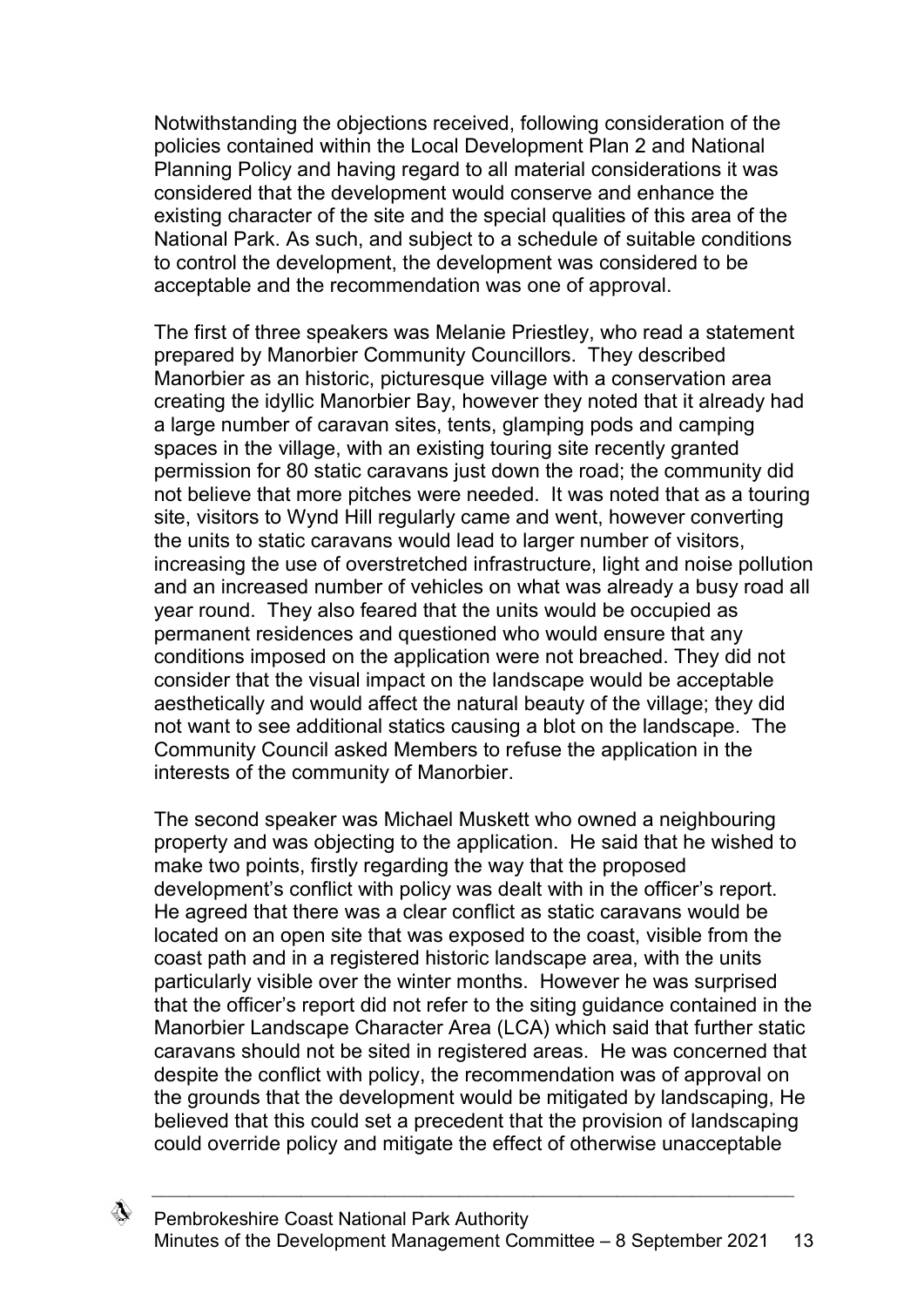Notwithstanding the objections received, following consideration of the policies contained within the Local Development Plan 2 and National Planning Policy and having regard to all material considerations it was considered that the development would conserve and enhance the existing character of the site and the special qualities of this area of the National Park. As such, and subject to a schedule of suitable conditions to control the development, the development was considered to be acceptable and the recommendation was one of approval.

The first of three speakers was Melanie Priestley, who read a statement prepared by Manorbier Community Councillors. They described Manorbier as an historic, picturesque village with a conservation area creating the idyllic Manorbier Bay, however they noted that it already had a large number of caravan sites, tents, glamping pods and camping spaces in the village, with an existing touring site recently granted permission for 80 static caravans just down the road; the community did not believe that more pitches were needed. It was noted that as a touring site, visitors to Wynd Hill regularly came and went, however converting the units to static caravans would lead to larger number of visitors, increasing the use of overstretched infrastructure, light and noise pollution and an increased number of vehicles on what was already a busy road all year round. They also feared that the units would be occupied as permanent residences and questioned who would ensure that any conditions imposed on the application were not breached. They did not consider that the visual impact on the landscape would be acceptable aesthetically and would affect the natural beauty of the village; they did not want to see additional statics causing a blot on the landscape. The Community Council asked Members to refuse the application in the interests of the community of Manorbier.

The second speaker was Michael Muskett who owned a neighbouring property and was objecting to the application. He said that he wished to make two points, firstly regarding the way that the proposed development's conflict with policy was dealt with in the officer's report. He agreed that there was a clear conflict as static caravans would be located on an open site that was exposed to the coast, visible from the coast path and in a registered historic landscape area, with the units particularly visible over the winter months. However he was surprised that the officer's report did not refer to the siting guidance contained in the Manorbier Landscape Character Area (LCA) which said that further static caravans should not be sited in registered areas. He was concerned that despite the conflict with policy, the recommendation was of approval on the grounds that the development would be mitigated by landscaping, He believed that this could set a precedent that the provision of landscaping could override policy and mitigate the effect of otherwise unacceptable

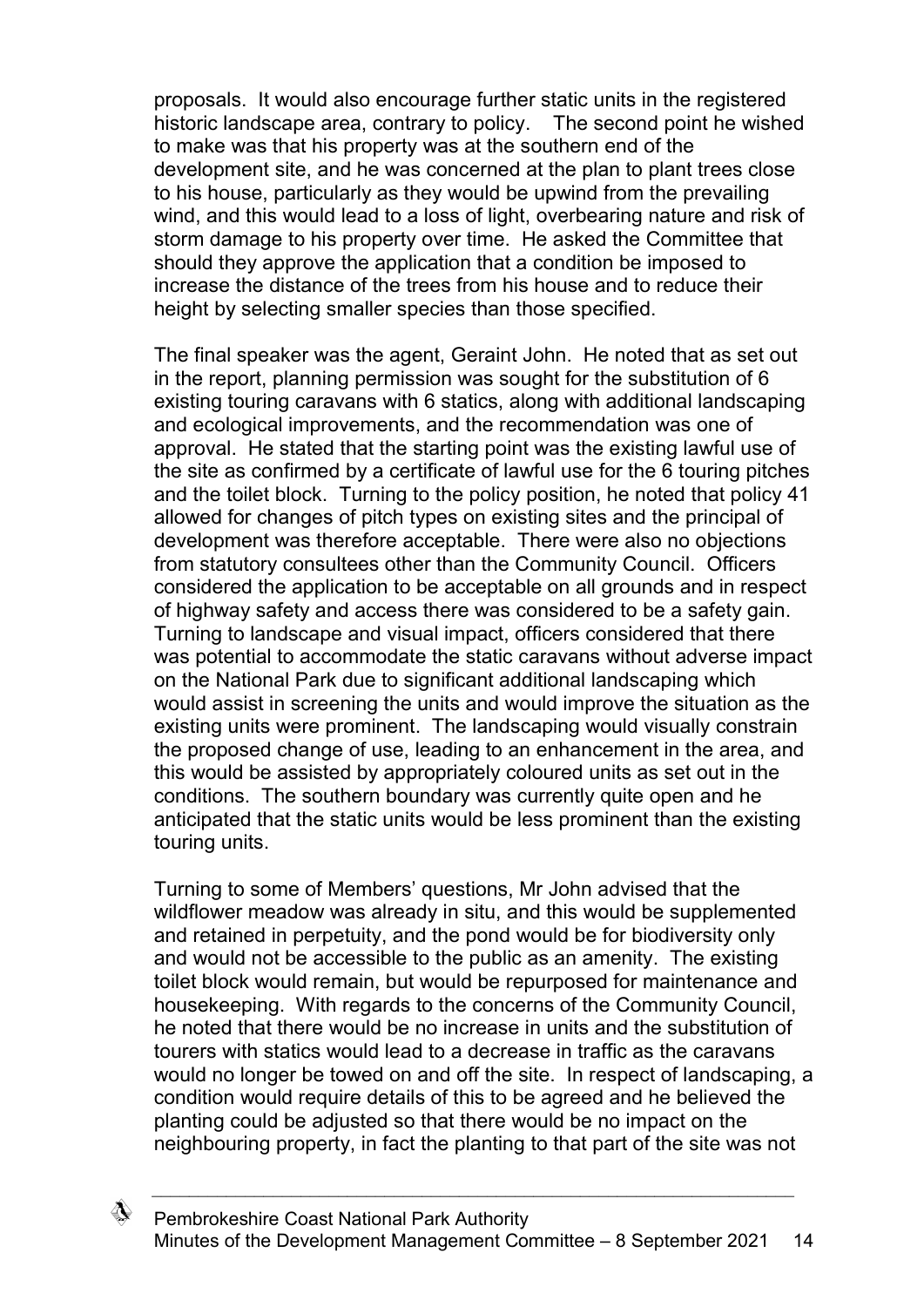proposals. It would also encourage further static units in the registered historic landscape area, contrary to policy. The second point he wished to make was that his property was at the southern end of the development site, and he was concerned at the plan to plant trees close to his house, particularly as they would be upwind from the prevailing wind, and this would lead to a loss of light, overbearing nature and risk of storm damage to his property over time. He asked the Committee that should they approve the application that a condition be imposed to increase the distance of the trees from his house and to reduce their height by selecting smaller species than those specified.

The final speaker was the agent, Geraint John. He noted that as set out in the report, planning permission was sought for the substitution of 6 existing touring caravans with 6 statics, along with additional landscaping and ecological improvements, and the recommendation was one of approval. He stated that the starting point was the existing lawful use of the site as confirmed by a certificate of lawful use for the 6 touring pitches and the toilet block. Turning to the policy position, he noted that policy 41 allowed for changes of pitch types on existing sites and the principal of development was therefore acceptable. There were also no objections from statutory consultees other than the Community Council. Officers considered the application to be acceptable on all grounds and in respect of highway safety and access there was considered to be a safety gain. Turning to landscape and visual impact, officers considered that there was potential to accommodate the static caravans without adverse impact on the National Park due to significant additional landscaping which would assist in screening the units and would improve the situation as the existing units were prominent. The landscaping would visually constrain the proposed change of use, leading to an enhancement in the area, and this would be assisted by appropriately coloured units as set out in the conditions. The southern boundary was currently quite open and he anticipated that the static units would be less prominent than the existing touring units.

Turning to some of Members' questions, Mr John advised that the wildflower meadow was already in situ, and this would be supplemented and retained in perpetuity, and the pond would be for biodiversity only and would not be accessible to the public as an amenity. The existing toilet block would remain, but would be repurposed for maintenance and housekeeping. With regards to the concerns of the Community Council, he noted that there would be no increase in units and the substitution of tourers with statics would lead to a decrease in traffic as the caravans would no longer be towed on and off the site. In respect of landscaping, a condition would require details of this to be agreed and he believed the planting could be adjusted so that there would be no impact on the neighbouring property, in fact the planting to that part of the site was not

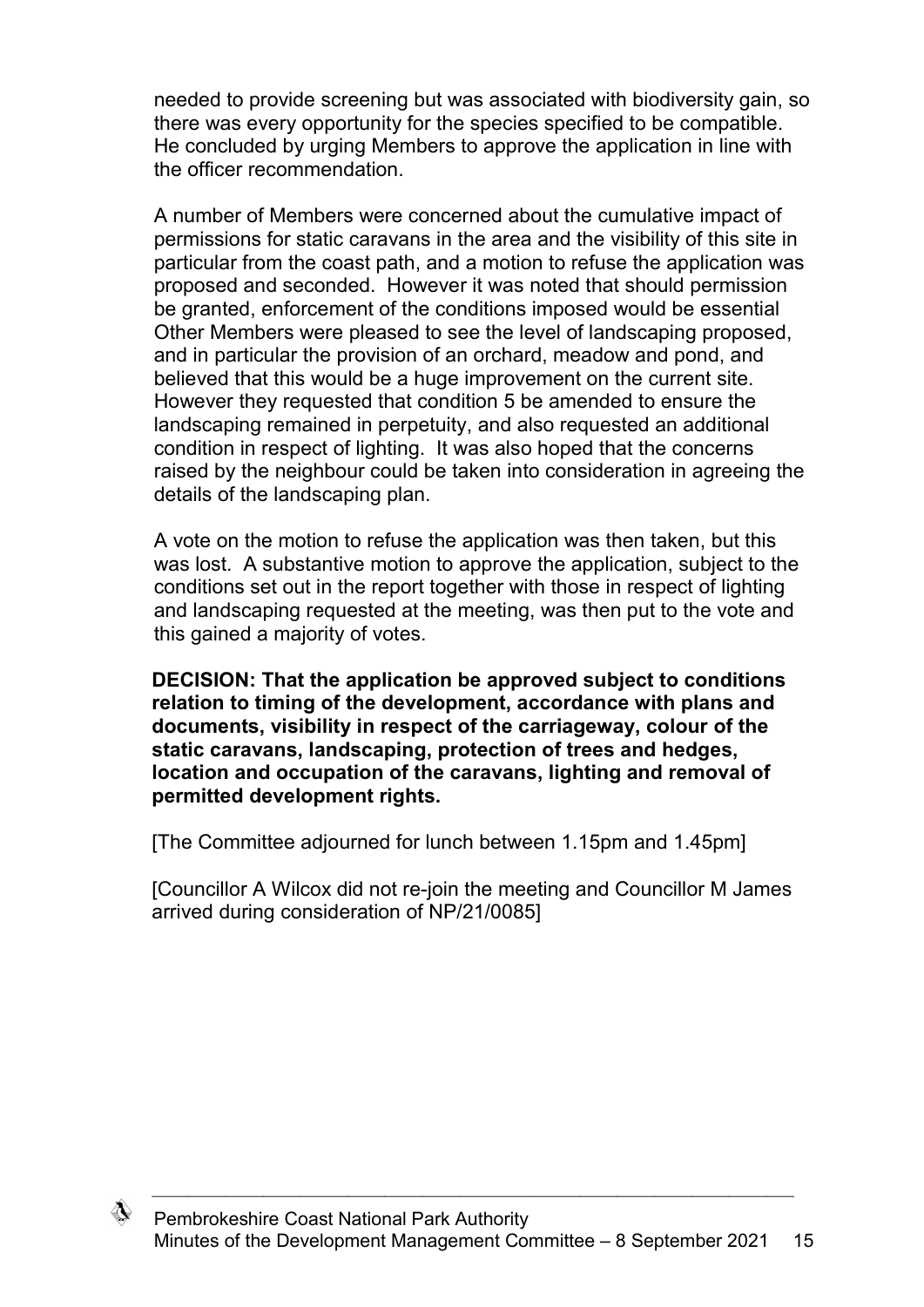needed to provide screening but was associated with biodiversity gain, so there was every opportunity for the species specified to be compatible. He concluded by urging Members to approve the application in line with the officer recommendation.

A number of Members were concerned about the cumulative impact of permissions for static caravans in the area and the visibility of this site in particular from the coast path, and a motion to refuse the application was proposed and seconded. However it was noted that should permission be granted, enforcement of the conditions imposed would be essential Other Members were pleased to see the level of landscaping proposed, and in particular the provision of an orchard, meadow and pond, and believed that this would be a huge improvement on the current site. However they requested that condition 5 be amended to ensure the landscaping remained in perpetuity, and also requested an additional condition in respect of lighting. It was also hoped that the concerns raised by the neighbour could be taken into consideration in agreeing the details of the landscaping plan.

A vote on the motion to refuse the application was then taken, but this was lost. A substantive motion to approve the application, subject to the conditions set out in the report together with those in respect of lighting and landscaping requested at the meeting, was then put to the vote and this gained a majority of votes.

**DECISION: That the application be approved subject to conditions relation to timing of the development, accordance with plans and documents, visibility in respect of the carriageway, colour of the static caravans, landscaping, protection of trees and hedges, location and occupation of the caravans, lighting and removal of permitted development rights.**

[The Committee adjourned for lunch between 1.15pm and 1.45pm]

[Councillor A Wilcox did not re-join the meeting and Councillor M James arrived during consideration of NP/21/0085]

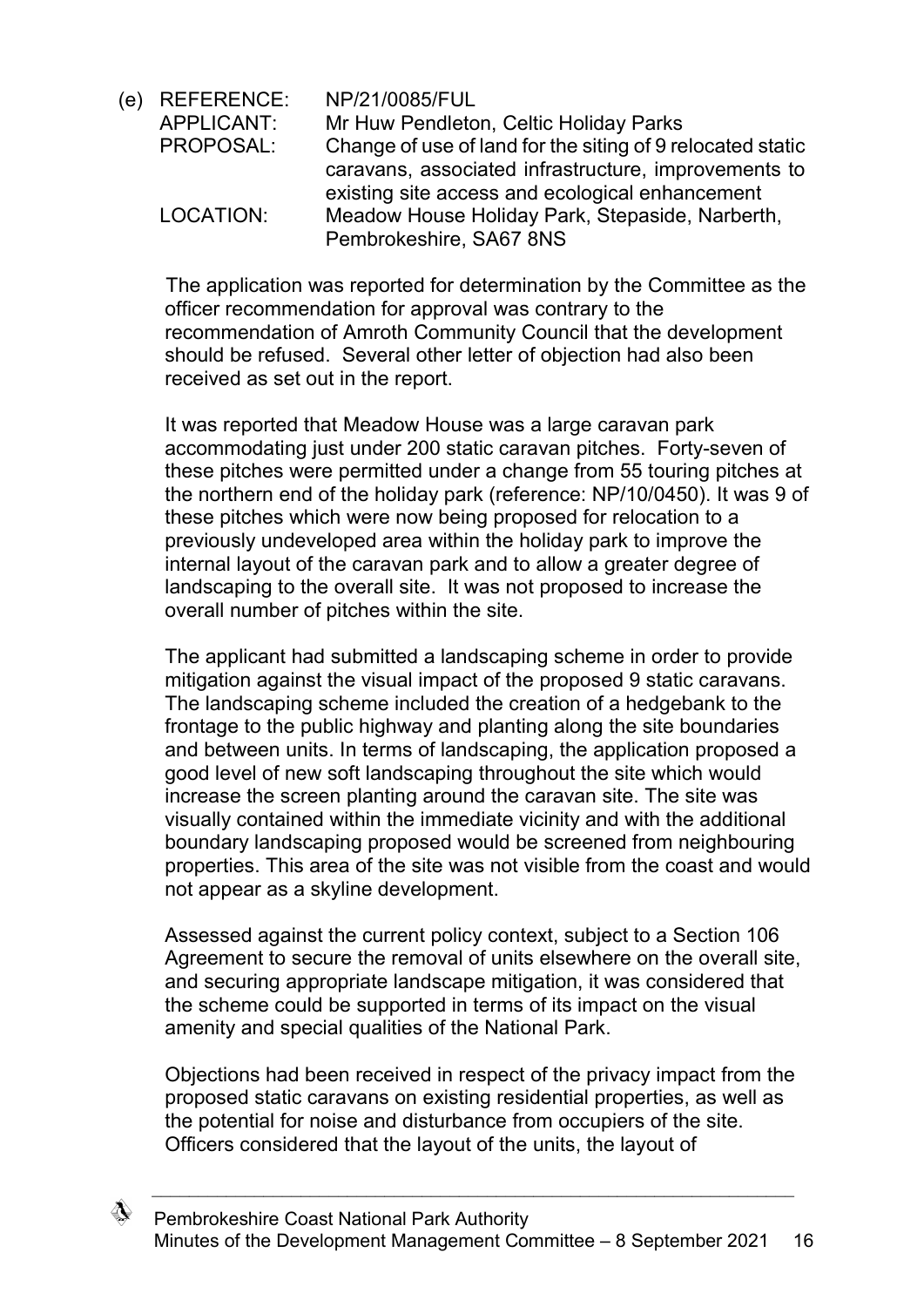(e) REFERENCE: NP/21/0085/FUL APPLICANT: Mr Huw Pendleton, Celtic Holiday Parks PROPOSAL: Change of use of land for the siting of 9 relocated static caravans, associated infrastructure, improvements to existing site access and ecological enhancement LOCATION: Meadow House Holiday Park, Stepaside, Narberth, Pembrokeshire, SA67 8NS

The application was reported for determination by the Committee as the officer recommendation for approval was contrary to the recommendation of Amroth Community Council that the development should be refused. Several other letter of objection had also been received as set out in the report.

It was reported that Meadow House was a large caravan park accommodating just under 200 static caravan pitches. Forty-seven of these pitches were permitted under a change from 55 touring pitches at the northern end of the holiday park (reference: NP/10/0450). It was 9 of these pitches which were now being proposed for relocation to a previously undeveloped area within the holiday park to improve the internal layout of the caravan park and to allow a greater degree of landscaping to the overall site. It was not proposed to increase the overall number of pitches within the site.

The applicant had submitted a landscaping scheme in order to provide mitigation against the visual impact of the proposed 9 static caravans. The landscaping scheme included the creation of a hedgebank to the frontage to the public highway and planting along the site boundaries and between units. In terms of landscaping, the application proposed a good level of new soft landscaping throughout the site which would increase the screen planting around the caravan site. The site was visually contained within the immediate vicinity and with the additional boundary landscaping proposed would be screened from neighbouring properties. This area of the site was not visible from the coast and would not appear as a skyline development.

Assessed against the current policy context, subject to a Section 106 Agreement to secure the removal of units elsewhere on the overall site, and securing appropriate landscape mitigation, it was considered that the scheme could be supported in terms of its impact on the visual amenity and special qualities of the National Park.

Objections had been received in respect of the privacy impact from the proposed static caravans on existing residential properties, as well as the potential for noise and disturbance from occupiers of the site. Officers considered that the layout of the units, the layout of

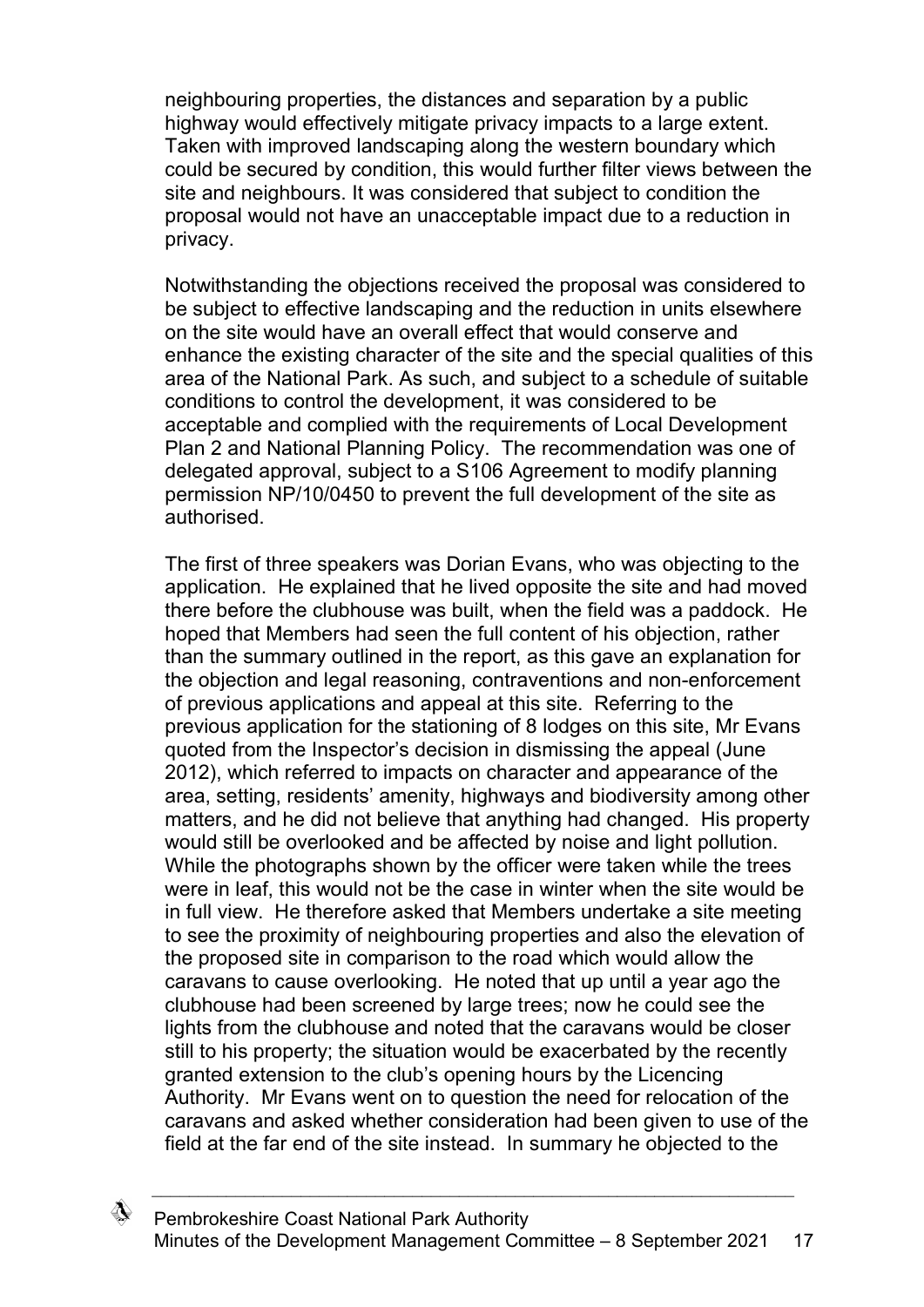neighbouring properties, the distances and separation by a public highway would effectively mitigate privacy impacts to a large extent. Taken with improved landscaping along the western boundary which could be secured by condition, this would further filter views between the site and neighbours. It was considered that subject to condition the proposal would not have an unacceptable impact due to a reduction in privacy.

Notwithstanding the objections received the proposal was considered to be subject to effective landscaping and the reduction in units elsewhere on the site would have an overall effect that would conserve and enhance the existing character of the site and the special qualities of this area of the National Park. As such, and subject to a schedule of suitable conditions to control the development, it was considered to be acceptable and complied with the requirements of Local Development Plan 2 and National Planning Policy. The recommendation was one of delegated approval, subject to a S106 Agreement to modify planning permission NP/10/0450 to prevent the full development of the site as authorised.

The first of three speakers was Dorian Evans, who was objecting to the application. He explained that he lived opposite the site and had moved there before the clubhouse was built, when the field was a paddock. He hoped that Members had seen the full content of his objection, rather than the summary outlined in the report, as this gave an explanation for the objection and legal reasoning, contraventions and non-enforcement of previous applications and appeal at this site. Referring to the previous application for the stationing of 8 lodges on this site, Mr Evans quoted from the Inspector's decision in dismissing the appeal (June 2012), which referred to impacts on character and appearance of the area, setting, residents' amenity, highways and biodiversity among other matters, and he did not believe that anything had changed. His property would still be overlooked and be affected by noise and light pollution. While the photographs shown by the officer were taken while the trees were in leaf, this would not be the case in winter when the site would be in full view. He therefore asked that Members undertake a site meeting to see the proximity of neighbouring properties and also the elevation of the proposed site in comparison to the road which would allow the caravans to cause overlooking. He noted that up until a year ago the clubhouse had been screened by large trees; now he could see the lights from the clubhouse and noted that the caravans would be closer still to his property; the situation would be exacerbated by the recently granted extension to the club's opening hours by the Licencing Authority. Mr Evans went on to question the need for relocation of the caravans and asked whether consideration had been given to use of the field at the far end of the site instead. In summary he objected to the

\_\_\_\_\_\_\_\_\_\_\_\_\_\_\_\_\_\_\_\_\_\_\_\_\_\_\_\_\_\_\_\_\_\_\_\_\_\_\_\_\_\_\_\_\_\_\_\_\_\_\_\_\_\_\_\_\_\_\_\_\_\_\_\_\_\_\_\_\_

</del>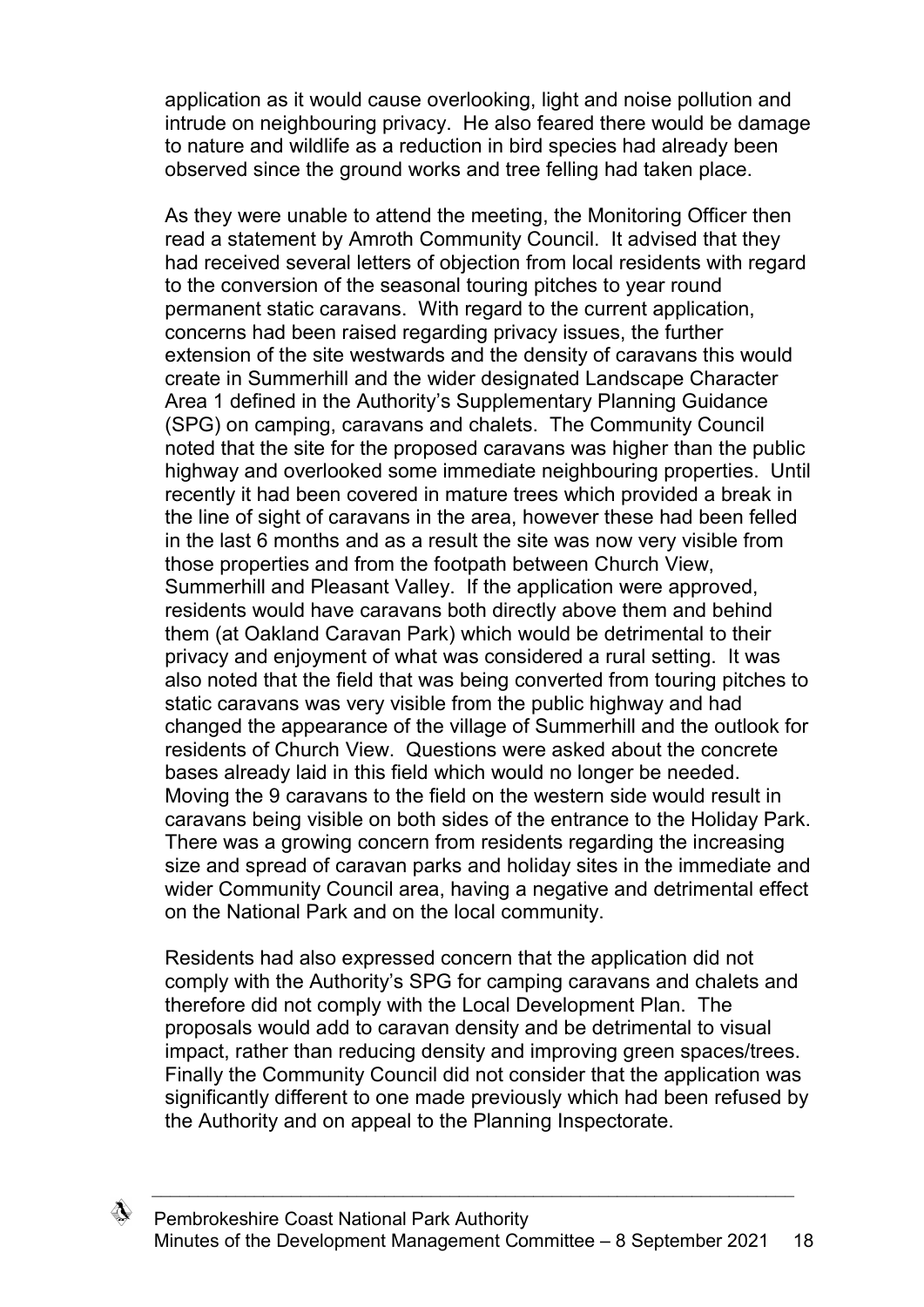application as it would cause overlooking, light and noise pollution and intrude on neighbouring privacy. He also feared there would be damage to nature and wildlife as a reduction in bird species had already been observed since the ground works and tree felling had taken place.

As they were unable to attend the meeting, the Monitoring Officer then read a statement by Amroth Community Council. It advised that they had received several letters of objection from local residents with regard to the conversion of the seasonal touring pitches to year round permanent static caravans. With regard to the current application, concerns had been raised regarding privacy issues, the further extension of the site westwards and the density of caravans this would create in Summerhill and the wider designated Landscape Character Area 1 defined in the Authority's Supplementary Planning Guidance (SPG) on camping, caravans and chalets. The Community Council noted that the site for the proposed caravans was higher than the public highway and overlooked some immediate neighbouring properties. Until recently it had been covered in mature trees which provided a break in the line of sight of caravans in the area, however these had been felled in the last 6 months and as a result the site was now very visible from those properties and from the footpath between Church View, Summerhill and Pleasant Valley. If the application were approved, residents would have caravans both directly above them and behind them (at Oakland Caravan Park) which would be detrimental to their privacy and enjoyment of what was considered a rural setting. It was also noted that the field that was being converted from touring pitches to static caravans was very visible from the public highway and had changed the appearance of the village of Summerhill and the outlook for residents of Church View. Questions were asked about the concrete bases already laid in this field which would no longer be needed. Moving the 9 caravans to the field on the western side would result in caravans being visible on both sides of the entrance to the Holiday Park. There was a growing concern from residents regarding the increasing size and spread of caravan parks and holiday sites in the immediate and wider Community Council area, having a negative and detrimental effect on the National Park and on the local community.

Residents had also expressed concern that the application did not comply with the Authority's SPG for camping caravans and chalets and therefore did not comply with the Local Development Plan. The proposals would add to caravan density and be detrimental to visual impact, rather than reducing density and improving green spaces/trees. Finally the Community Council did not consider that the application was significantly different to one made previously which had been refused by the Authority and on appeal to the Planning Inspectorate.

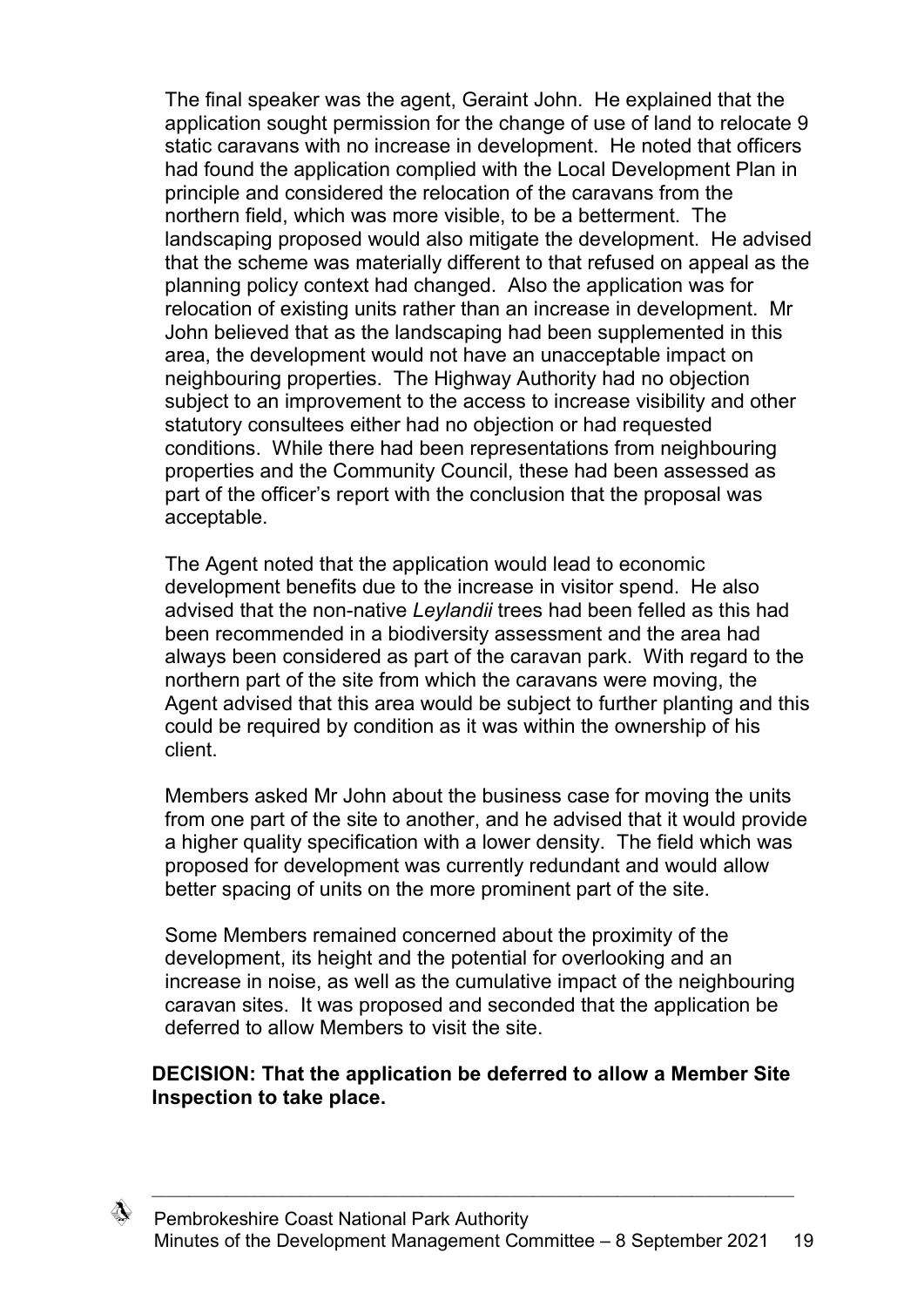The final speaker was the agent, Geraint John. He explained that the application sought permission for the change of use of land to relocate 9 static caravans with no increase in development. He noted that officers had found the application complied with the Local Development Plan in principle and considered the relocation of the caravans from the northern field, which was more visible, to be a betterment. The landscaping proposed would also mitigate the development. He advised that the scheme was materially different to that refused on appeal as the planning policy context had changed. Also the application was for relocation of existing units rather than an increase in development. Mr John believed that as the landscaping had been supplemented in this area, the development would not have an unacceptable impact on neighbouring properties. The Highway Authority had no objection subject to an improvement to the access to increase visibility and other statutory consultees either had no objection or had requested conditions. While there had been representations from neighbouring properties and the Community Council, these had been assessed as part of the officer's report with the conclusion that the proposal was acceptable.

The Agent noted that the application would lead to economic development benefits due to the increase in visitor spend. He also advised that the non-native *Leylandii* trees had been felled as this had been recommended in a biodiversity assessment and the area had always been considered as part of the caravan park. With regard to the northern part of the site from which the caravans were moving, the Agent advised that this area would be subject to further planting and this could be required by condition as it was within the ownership of his client.

Members asked Mr John about the business case for moving the units from one part of the site to another, and he advised that it would provide a higher quality specification with a lower density. The field which was proposed for development was currently redundant and would allow better spacing of units on the more prominent part of the site.

Some Members remained concerned about the proximity of the development, its height and the potential for overlooking and an increase in noise, as well as the cumulative impact of the neighbouring caravan sites. It was proposed and seconded that the application be deferred to allow Members to visit the site.

### **DECISION: That the application be deferred to allow a Member Site Inspection to take place.**

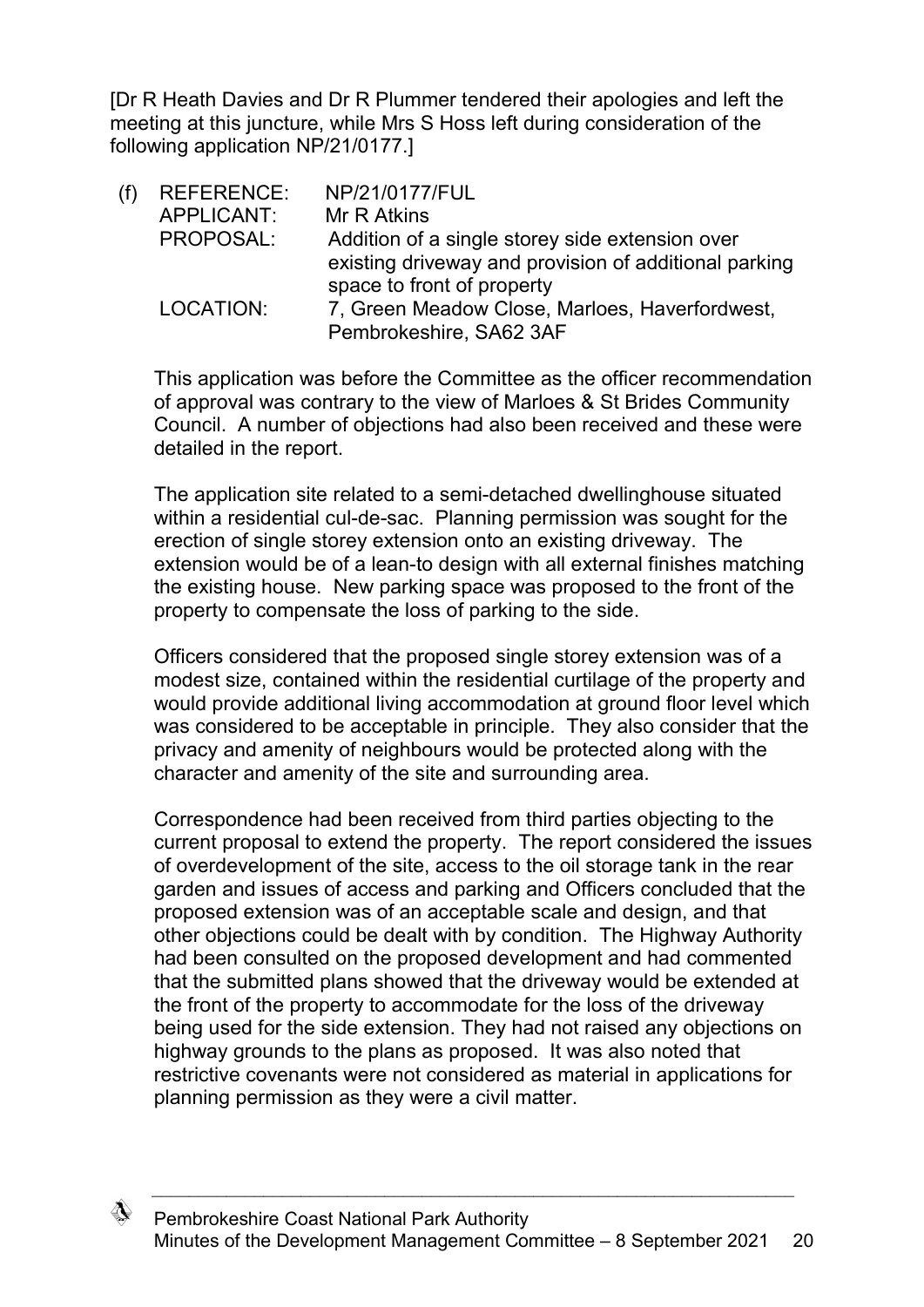[Dr R Heath Davies and Dr R Plummer tendered their apologies and left the meeting at this juncture, while Mrs S Hoss left during consideration of the following application NP/21/0177.]

| (f) | <b>REFERENCE:</b> | NP/21/0177/FUL                                        |
|-----|-------------------|-------------------------------------------------------|
|     | APPLICANT:        | Mr R Atkins                                           |
|     | PROPOSAL:         | Addition of a single storey side extension over       |
|     |                   | existing driveway and provision of additional parking |
|     |                   | space to front of property                            |
|     | LOCATION:         | 7, Green Meadow Close, Marloes, Haverfordwest,        |
|     |                   | Pembrokeshire, SA62 3AF                               |

This application was before the Committee as the officer recommendation of approval was contrary to the view of Marloes & St Brides Community Council. A number of objections had also been received and these were detailed in the report.

The application site related to a semi-detached dwellinghouse situated within a residential cul-de-sac. Planning permission was sought for the erection of single storey extension onto an existing driveway. The extension would be of a lean-to design with all external finishes matching the existing house. New parking space was proposed to the front of the property to compensate the loss of parking to the side.

Officers considered that the proposed single storey extension was of a modest size, contained within the residential curtilage of the property and would provide additional living accommodation at ground floor level which was considered to be acceptable in principle. They also consider that the privacy and amenity of neighbours would be protected along with the character and amenity of the site and surrounding area.

Correspondence had been received from third parties objecting to the current proposal to extend the property. The report considered the issues of overdevelopment of the site, access to the oil storage tank in the rear garden and issues of access and parking and Officers concluded that the proposed extension was of an acceptable scale and design, and that other objections could be dealt with by condition. The Highway Authority had been consulted on the proposed development and had commented that the submitted plans showed that the driveway would be extended at the front of the property to accommodate for the loss of the driveway being used for the side extension. They had not raised any objections on highway grounds to the plans as proposed. It was also noted that restrictive covenants were not considered as material in applications for planning permission as they were a civil matter.

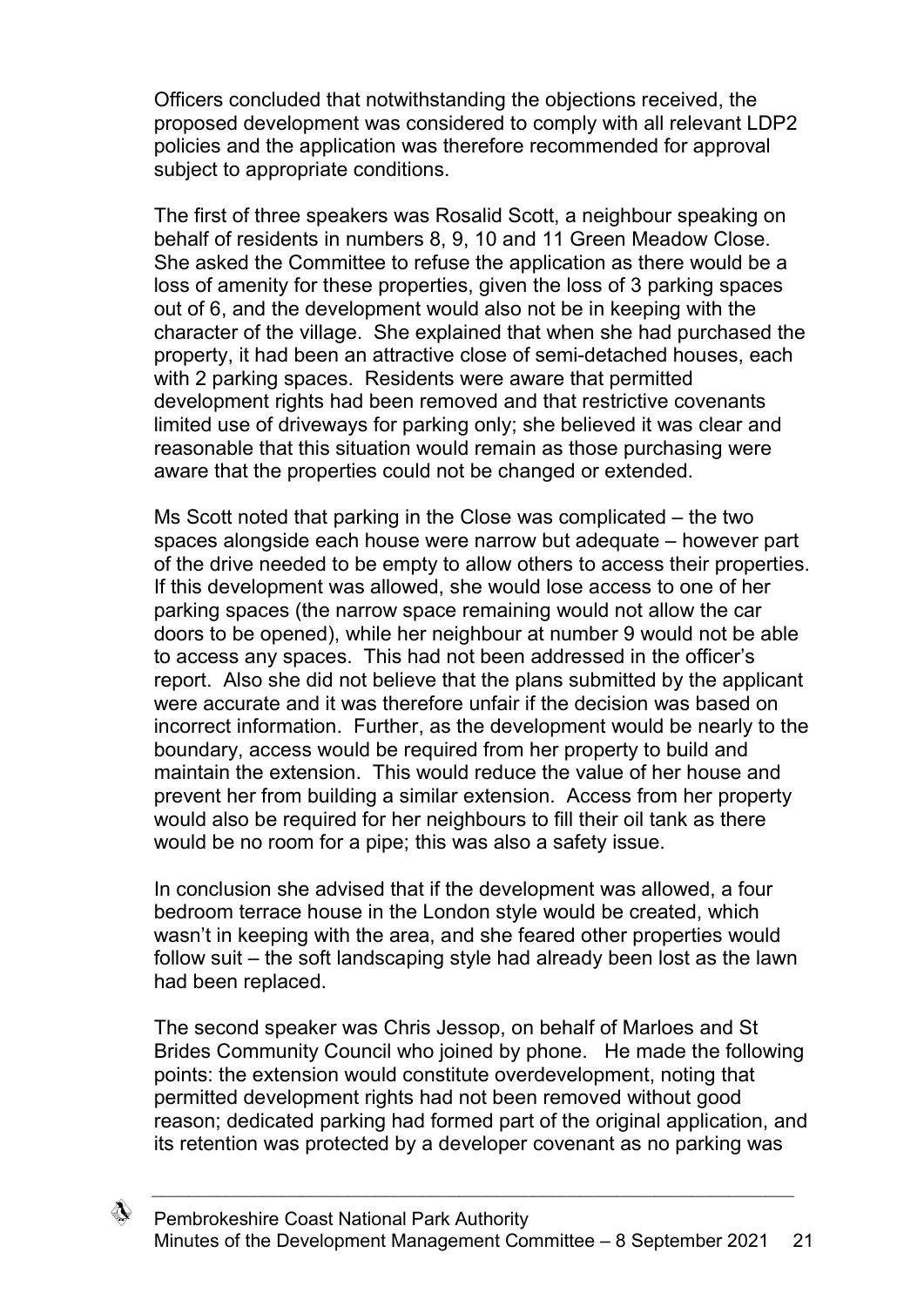Officers concluded that notwithstanding the objections received, the proposed development was considered to comply with all relevant LDP2 policies and the application was therefore recommended for approval subject to appropriate conditions.

The first of three speakers was Rosalid Scott, a neighbour speaking on behalf of residents in numbers 8, 9, 10 and 11 Green Meadow Close. She asked the Committee to refuse the application as there would be a loss of amenity for these properties, given the loss of 3 parking spaces out of 6, and the development would also not be in keeping with the character of the village. She explained that when she had purchased the property, it had been an attractive close of semi-detached houses, each with 2 parking spaces. Residents were aware that permitted development rights had been removed and that restrictive covenants limited use of driveways for parking only; she believed it was clear and reasonable that this situation would remain as those purchasing were aware that the properties could not be changed or extended.

Ms Scott noted that parking in the Close was complicated – the two spaces alongside each house were narrow but adequate – however part of the drive needed to be empty to allow others to access their properties. If this development was allowed, she would lose access to one of her parking spaces (the narrow space remaining would not allow the car doors to be opened), while her neighbour at number 9 would not be able to access any spaces. This had not been addressed in the officer's report. Also she did not believe that the plans submitted by the applicant were accurate and it was therefore unfair if the decision was based on incorrect information. Further, as the development would be nearly to the boundary, access would be required from her property to build and maintain the extension. This would reduce the value of her house and prevent her from building a similar extension. Access from her property would also be required for her neighbours to fill their oil tank as there would be no room for a pipe; this was also a safety issue.

In conclusion she advised that if the development was allowed, a four bedroom terrace house in the London style would be created, which wasn't in keeping with the area, and she feared other properties would follow suit – the soft landscaping style had already been lost as the lawn had been replaced.

The second speaker was Chris Jessop, on behalf of Marloes and St Brides Community Council who joined by phone. He made the following points: the extension would constitute overdevelopment, noting that permitted development rights had not been removed without good reason; dedicated parking had formed part of the original application, and its retention was protected by a developer covenant as no parking was

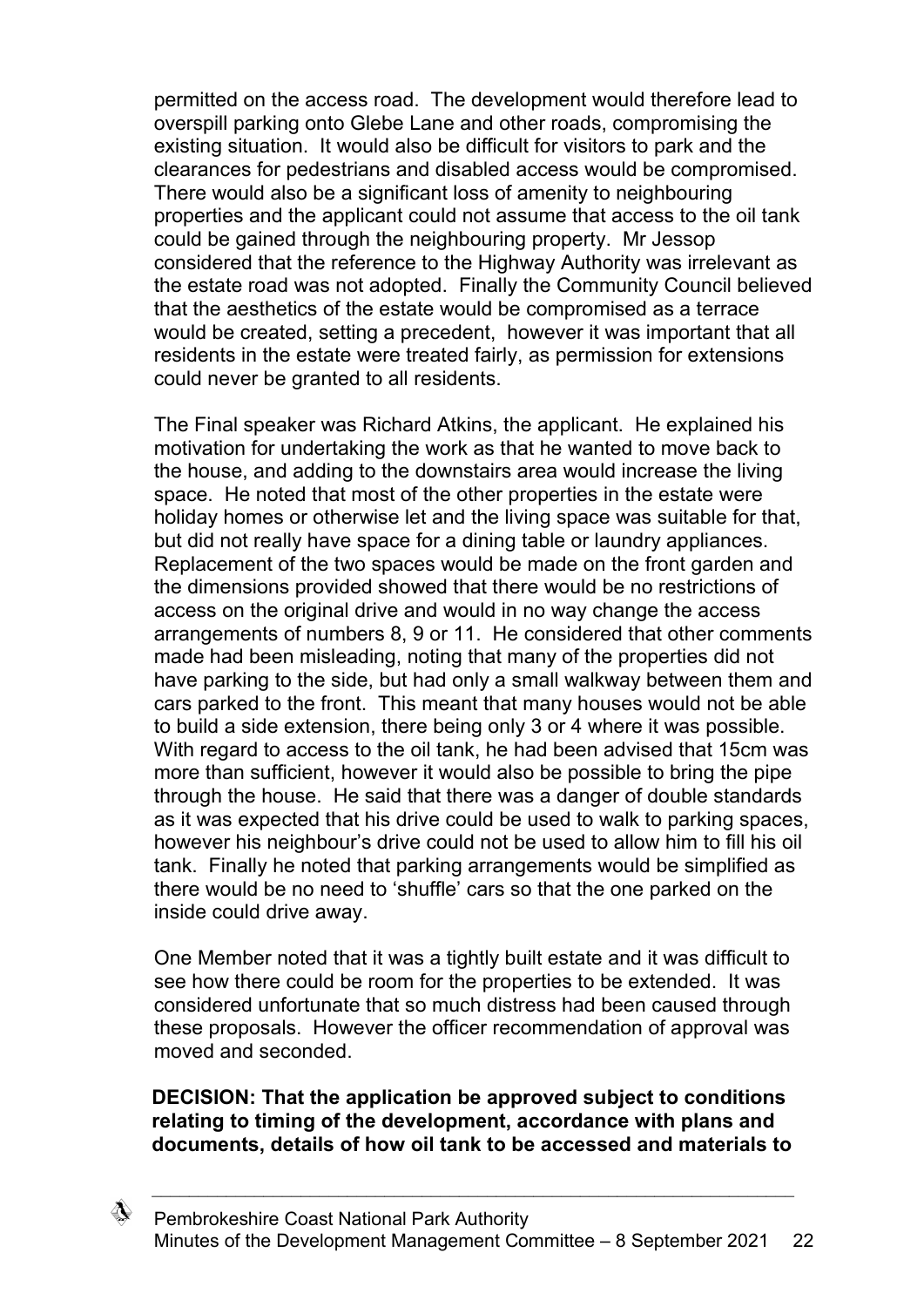permitted on the access road. The development would therefore lead to overspill parking onto Glebe Lane and other roads, compromising the existing situation. It would also be difficult for visitors to park and the clearances for pedestrians and disabled access would be compromised. There would also be a significant loss of amenity to neighbouring properties and the applicant could not assume that access to the oil tank could be gained through the neighbouring property. Mr Jessop considered that the reference to the Highway Authority was irrelevant as the estate road was not adopted. Finally the Community Council believed that the aesthetics of the estate would be compromised as a terrace would be created, setting a precedent, however it was important that all residents in the estate were treated fairly, as permission for extensions could never be granted to all residents.

The Final speaker was Richard Atkins, the applicant. He explained his motivation for undertaking the work as that he wanted to move back to the house, and adding to the downstairs area would increase the living space. He noted that most of the other properties in the estate were holiday homes or otherwise let and the living space was suitable for that, but did not really have space for a dining table or laundry appliances. Replacement of the two spaces would be made on the front garden and the dimensions provided showed that there would be no restrictions of access on the original drive and would in no way change the access arrangements of numbers 8, 9 or 11. He considered that other comments made had been misleading, noting that many of the properties did not have parking to the side, but had only a small walkway between them and cars parked to the front. This meant that many houses would not be able to build a side extension, there being only 3 or 4 where it was possible. With regard to access to the oil tank, he had been advised that 15cm was more than sufficient, however it would also be possible to bring the pipe through the house. He said that there was a danger of double standards as it was expected that his drive could be used to walk to parking spaces, however his neighbour's drive could not be used to allow him to fill his oil tank. Finally he noted that parking arrangements would be simplified as there would be no need to 'shuffle' cars so that the one parked on the inside could drive away.

One Member noted that it was a tightly built estate and it was difficult to see how there could be room for the properties to be extended. It was considered unfortunate that so much distress had been caused through these proposals. However the officer recommendation of approval was moved and seconded.

### **DECISION: That the application be approved subject to conditions relating to timing of the development, accordance with plans and documents, details of how oil tank to be accessed and materials to**

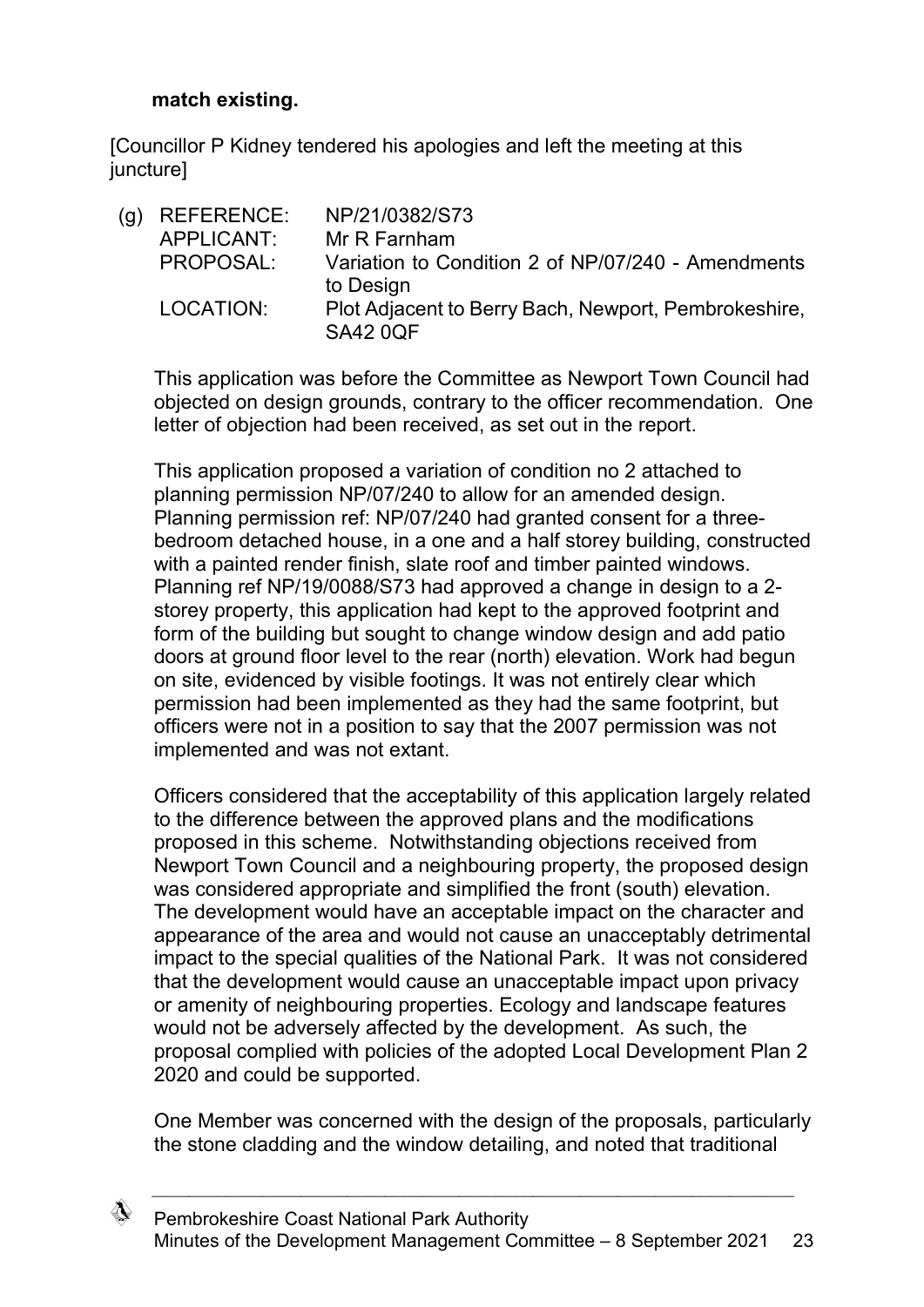## **match existing.**

[Councillor P Kidney tendered his apologies and left the meeting at this juncture]

(g) REFERENCE: NP/21/0382/S73 APPLICANT: Mr R Farnham PROPOSAL: Variation to Condition 2 of NP/07/240 - Amendments to Design LOCATION: Plot Adjacent to Berry Bach, Newport, Pembrokeshire, SA42 0QF

This application was before the Committee as Newport Town Council had objected on design grounds, contrary to the officer recommendation. One letter of objection had been received, as set out in the report.

This application proposed a variation of condition no 2 attached to planning permission NP/07/240 to allow for an amended design. Planning permission ref: NP/07/240 had granted consent for a threebedroom detached house, in a one and a half storey building, constructed with a painted render finish, slate roof and timber painted windows. Planning ref NP/19/0088/S73 had approved a change in design to a 2 storey property, this application had kept to the approved footprint and form of the building but sought to change window design and add patio doors at ground floor level to the rear (north) elevation. Work had begun on site, evidenced by visible footings. It was not entirely clear which permission had been implemented as they had the same footprint, but officers were not in a position to say that the 2007 permission was not implemented and was not extant.

Officers considered that the acceptability of this application largely related to the difference between the approved plans and the modifications proposed in this scheme. Notwithstanding objections received from Newport Town Council and a neighbouring property, the proposed design was considered appropriate and simplified the front (south) elevation. The development would have an acceptable impact on the character and appearance of the area and would not cause an unacceptably detrimental impact to the special qualities of the National Park. It was not considered that the development would cause an unacceptable impact upon privacy or amenity of neighbouring properties. Ecology and landscape features would not be adversely affected by the development. As such, the proposal complied with policies of the adopted Local Development Plan 2 2020 and could be supported.

One Member was concerned with the design of the proposals, particularly the stone cladding and the window detailing, and noted that traditional